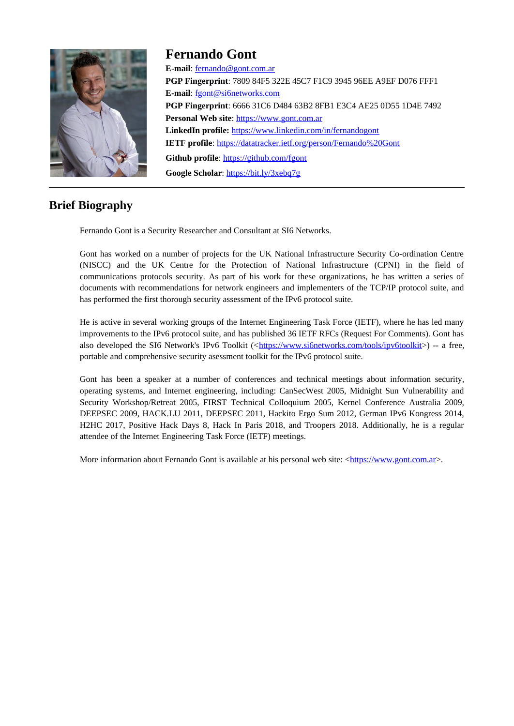

# **Fernando Gont**

**E-mail**: [fernando@gont.com.ar](mailto:fernando@gont.com.ar) **PGP Fingerprint**: 7809 84F5 322E 45C7 F1C9 3945 96EE A9EF D076 FFF1 **E-mail:** fgont@si6networks.com **PGP Fingerprint**: 6666 31C6 D484 63B2 8FB1 E3C4 AE25 0D55 1D4E 7492 Personal Web site: https://www.gont.com.ar **LinkedIn profile:** <https://www.linkedin.com/in/fernandogont> **IETF profile**:<https://datatracker.ietf.org/person/Fernando%20Gont> Github profile: <https://github.com/fgont> **Google Scholar**:<https://bit.ly/3xebq7g>

# **Brief Biography**

Fernando Gont is a Security Researcher and Consultant at SI6 Networks.

Gont has worked on a number of projects for the UK National Infrastructure Security Co-ordination Centre (NISCC) and the UK Centre for the Protection of National Infrastructure (CPNI) in the field of communications protocols security. As part of his work for these organizations, he has written a series of documents with recommendations for network engineers and implementers of the TCP/IP protocol suite, and has performed the first thorough security assessment of the IPv6 protocol suite.

He is active in several working groups of the Internet Engineering Task Force (IETF), where he has led many improvements to the IPv6 protocol suite, and has published 36 IETF RFCs (Request For Comments). Gont has also developed the SI6 Network's IPv6 Toolkit (<<https://www.si6networks.com/tools/ipv6toolkit>>) -- a free, portable and comprehensive security asessment toolkit for the IPv6 protocol suite.

Gont has been a speaker at a number of conferences and technical meetings about information security, operating systems, and Internet engineering, including: CanSecWest 2005, Midnight Sun Vulnerability and Security Workshop/Retreat 2005, FIRST Technical Colloquium 2005, Kernel Conference Australia 2009, DEEPSEC 2009, HACK.LU 2011, DEEPSEC 2011, Hackito Ergo Sum 2012, German IPv6 Kongress 2014, H2HC 2017, Positive Hack Days 8, Hack In Paris 2018, and Troopers 2018. Additionally, he is a regular attendee of the Internet Engineering Task Force (IETF) meetings.

More information about Fernando Gont is available at his personal web site: <[https://www.gont.com.ar](https://www.gont.com.ar/)>.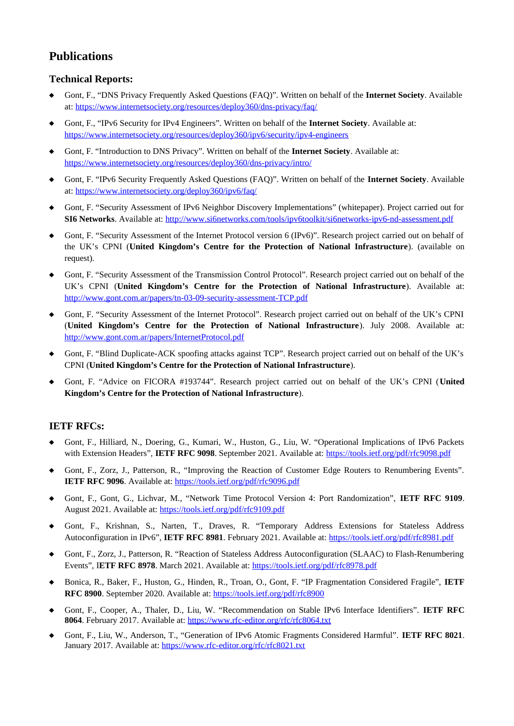# **Publications**

### **Technical Reports:**

- Gont, F., "DNS Privacy Frequently Asked Questions (FAQ)". Written on behalf of the **Internet Society**. Available at:<https://www.internetsociety.org/resources/deploy360/dns-privacy/faq/>
- Gont, F., "IPv6 Security for IPv4 Engineers". Written on behalf of the **Internet Society**. Available at: <https://www.internetsociety.org/resources/deploy360/ipv6/security/ipv4-engineers>
- Gont, F. "Introduction to DNS Privacy". Written on behalf of the **Internet Society**. Available at: <https://www.internetsociety.org/resources/deploy360/dns-privacy/intro/>
- Gont, F. "IPv6 Security Frequently Asked Questions (FAQ)". Written on behalf of the **Internet Society**. Available at:<https://www.internetsociety.org/deploy360/ipv6/faq/>
- Gont, F. "Security Assessment of IPv6 Neighbor Discovery Implementations" (whitepaper). Project carried out for **SI6 Networks**. Available at: <http://www.si6networks.com/tools/ipv6toolkit/si6networks-ipv6-nd-assessment.pdf>
- Gont, F. "Security Assessment of the Internet Protocol version 6 (IPv6)". Research project carried out on behalf of the UK's CPNI (**United Kingdom's Centre for the Protection of National Infrastructure**). (available on request).
- Gont, F. "Security Assessment of the Transmission Control Protocol". Research project carried out on behalf of the UK's CPNI (**United Kingdom's Centre for the Protection of National Infrastructure**). Available at: http://www.gont.com.ar/papers/tn-03-09-security-assessment-TCP.pdf
- Gont, F. "Security Assessment of the Internet Protocol". Research project carried out on behalf of the UK's CPNI (**United Kingdom's Centre for the Protection of National Infrastructure**). July 2008. Available at: http://www.gont.com.ar/papers/InternetProtocol.pdf
- Gont, F. "Blind Duplicate-ACK spoofing attacks against TCP". Research project carried out on behalf of the UK's CPNI (**United Kingdom's Centre for the Protection of National Infrastructure**).
- Gont, F. "Advice on FICORA #193744". Research project carried out on behalf of the UK's CPNI (**United Kingdom's Centre for the Protection of National Infrastructure**).

### **IETF RFCs:**

- Gont, F., Hilliard, N., Doering, G., Kumari, W., Huston, G., Liu, W. "Operational Implications of IPv6 Packets with Extension Headers", IETF RFC 9098. September 2021. Available at: https://tools.ietf.org/pdf/rfc9098.pdf
- Gont, F., Zorz, J., Patterson, R., "Improving the Reaction of Customer Edge Routers to Renumbering Events". **IETF RFC 9096.** Available at: https://tools.ietf.org/pdf/rfc9096.pdf
- Gont, F., Gont, G., Lichvar, M., "Network Time Protocol Version 4: Port Randomization", **IETF RFC 9109**. August 2021. Available at: https://tools.ietf.org/pdf/rfc9109.pdf
- Gont, F., Krishnan, S., Narten, T., Draves, R. "Temporary Address Extensions for Stateless Address Autoconfiguration in IPv6", **IETF RFC 8981**. February 2021. Available at:<https://tools.ietf.org/pdf/rfc8981.pdf>
- Gont, F., Zorz, J., Patterson, R. "Reaction of Stateless Address Autoconfiguration (SLAAC) to Flash-Renumbering Events", I**ETF RFC 8978**. March 2021. Available at:<https://tools.ietf.org/pdf/rfc8978.pdf>
- Bonica, R., Baker, F., Huston, G., Hinden, R., Troan, O., Gont, F. "IP Fragmentation Considered Fragile", **IETF RFC 8900**. September 2020. Available at:<https://tools.ietf.org/pdf/rfc8900>
- Gont, F., Cooper, A., Thaler, D., Liu, W. "Recommendation on Stable IPv6 Interface Identifiers". **IETF RFC 8064**. February 2017. Available at:<https://www.rfc-editor.org/rfc/rfc8064.txt>
- Gont, F., Liu, W., Anderson, T., "Generation of IPv6 Atomic Fragments Considered Harmful". **IETF RFC 8021**. January 2017. Available at:<https://www.rfc-editor.org/rfc/rfc8021.txt>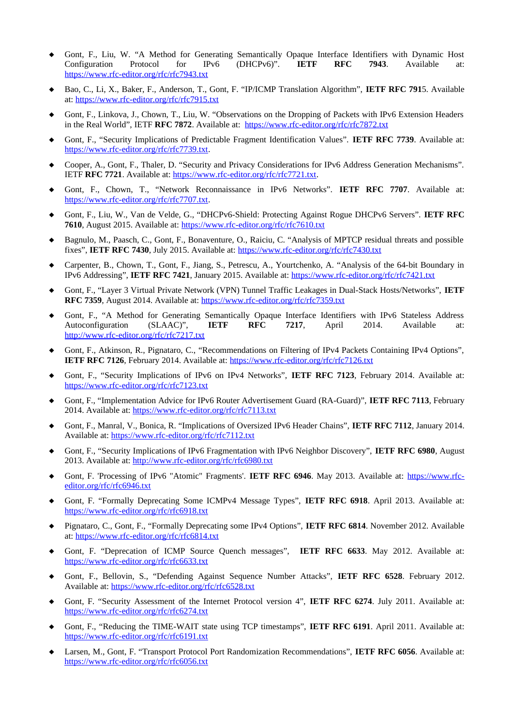- ◆ Gont, F., Liu, W. "A Method for Generating Semantically Opaque Interface Identifiers with Dynamic Host<br>Configuration Protocol for IPv6 (DHCPv6)". **IETF RFC 7943**. Available at: Configuration Protocol for IPv6 (DHCPv6)". **IETF RFC 7943**. Available at: <https://www.rfc-editor.org/rfc/rfc7943.txt>
- Bao, C., Li, X., Baker, F., Anderson, T., Gont, F. "IP/ICMP Translation Algorithm", **IETF RFC 791**5. Available at:<https://www.rfc-editor.org/rfc/rfc7915.txt>
- Gont, F., Linkova, J., Chown, T., Liu, W. "Observations on the Dropping of Packets with IPv6 Extension Headers in the Real World", IETF **RFC 7872**. Available at: [https://www.rfc-editor.org/rfc/rfc7](https://www.rfc-editor.org/rfc/rfc7872.txt) [872 .txt](http://www.rfc-editor.org/rfc/rfc7872.txt)
- Gont, F., "Security Implications of Predictable Fragment Identification Values". **IETF RFC 7739**. Available at: <https://www.rfc-editor.org/rfc/rfc7739.txt>.
- Cooper, A., Gont, F., Thaler, D. "Security and Privacy Considerations for IPv6 Address Generation Mechanisms". IETF **RFC 7721**. Available at: [https://www.rfc-editor.org/rfc/rfc7721.txt.](https://www.rfc-editor.org/rfc/rfc7721.txt)
- Gont, F., Chown, T., "Network Reconnaissance in IPv6 Networks". **IETF RFC 7707**. Available at: <https://www.rfc-editor.org/rfc/rfc7707.txt>.
- Gont, F., Liu, W., Van de Velde, G., "DHCPv6-Shield: Protecting Against Rogue DHCPv6 Servers". **IETF RFC 7610**, August 2015. Available at:<https://www.rfc-editor.org/rfc/rfc7610.txt>
- Bagnulo, M., Paasch, C., Gont, F., Bonaventure, O., Raiciu, C. "Analysis of MPTCP residual threats and possible fixes", **IETF RFC 7430**, July 2015. Available at: <https://www.rfc-editor.org/rfc/rfc7430.txt>
- Carpenter, B., Chown, T., Gont, F., Jiang, S., Petrescu, A., Yourtchenko, A. "Analysis of the 64-bit Boundary in IPv6 Addressing", **IETF RFC 7421**, January 2015. Available at: <https://www.rfc-editor.org/rfc/rfc7421.txt>
- Gont, F., "Layer 3 Virtual Private Network (VPN) Tunnel Traffic Leakages in Dual-Stack Hosts/Networks", **IETF RFC 7359**, August 2014. Available at:<https://www.rfc-editor.org/rfc/rfc7359.txt>
- ◆ Gont, F., "A Method for Generating Semantically Opaque Interface Identifiers with IPv6 Stateless Address Autoconfiguration (SLAAC)", IETF RFC 7217, April 2014. Available at: Autoconfiguration (SLAAC)", **IETF RFC 7217**, April 2014. Available at: <http://www.rfc-editor.org/rfc/rfc7217.txt>
- Gont, F., Atkinson, R., Pignataro, C., "Recommendations on Filtering of IPv4 Packets Containing IPv4 Options", **IETF RFC 7126**, February 2014. Available at:<https://www.rfc-editor.org/rfc/rfc7126.txt>
- Gont, F., "Security Implications of IPv6 on IPv4 Networks", **IETF RFC 7123**, February 2014. Available at: <https://www.rfc-editor.org/rfc/rfc7123.txt>
- Gont, F., "Implementation Advice for IPv6 Router Advertisement Guard (RA-Guard)", **IETF RFC 7113**, February 2014. Available at: <https://www.rfc-editor.org/rfc/rfc7113.txt>
- Gont, F., Manral, V., Bonica, R. "Implications of Oversized IPv6 Header Chains", **IETF RFC 7112**, January 2014. Available at: <https://www.rfc-editor.org/rfc/rfc7112.txt>
- Gont, F., "Security Implications of IPv6 Fragmentation with IPv6 Neighbor Discovery", **IETF RFC 6980**, August 2013. Available at: [http://www.rfc-editor.org/rfc/rfc6980.txt](http://www.rfc-editor.org/rfc/rfc6946.txt)
- Gont, F. 'Processing of IPv6 "Atomic" Fragments'. **IETF RFC 6946**. May 2013. Available at: [https://www.rfc](https://www.rfc-editor.org/rfc/rfc6946.txt)[editor.org/rfc/rfc6946.txt](https://www.rfc-editor.org/rfc/rfc6946.txt)
- Gont, F. "Formally Deprecating Some ICMPv4 Message Types", **IETF RFC 6918**. April 2013. Available at: <https://www.rfc-editor.org/rfc/rfc6918.txt>
- Pignataro, C., Gont, F., "Formally Deprecating some IPv4 Options", **IETF RFC 6814**. November 2012. Available at:<https://www.rfc-editor.org/rfc/rfc6814.txt>
- Gont, F. "Deprecation of ICMP Source Quench messages", **IETF RFC 6633**. May 2012. Available at: <https://www.rfc-editor.org/rfc/rfc6633.txt>
- Gont, F., Bellovin, S., "Defending Against Sequence Number Attacks", **IETF RFC 6528**. February 2012. Available at: <https://www.rfc-editor.org/rfc/rfc6528.txt>
- Gont, F. "Security Assessment of the Internet Protocol version 4", **IETF RFC 6274**. July 2011. Available at: <https://www.rfc-editor.org/rfc/rfc6274.txt>
- Gont, F., "Reducing the TIME-WAIT state using TCP timestamps", **IETF RFC 6191**. April 2011. Available at: <https://www.rfc-editor.org/rfc/rfc6191.txt>
- Larsen, M., Gont, F. "Transport Protocol Port Randomization Recommendations", **IETF RFC 6056**. Available at: <https://www.rfc-editor.org/rfc/rfc6056.txt>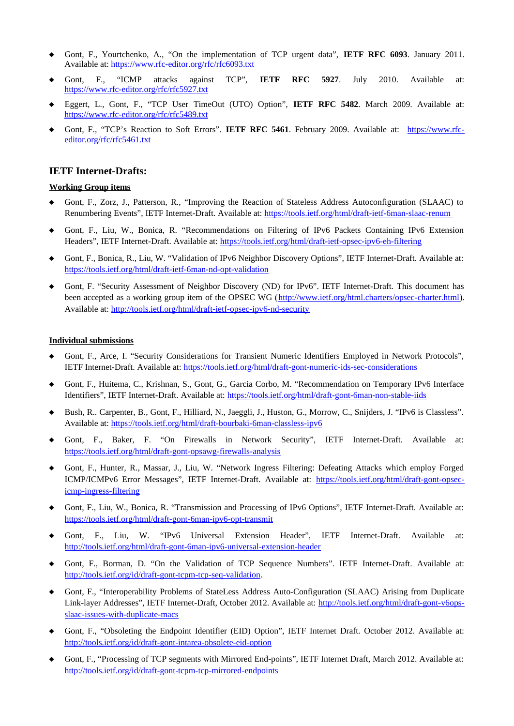- Gont, F., Yourtchenko, A., "On the implementation of TCP urgent data", **IETF RFC 6093**. January 2011. Available at: <https://www.rfc-editor.org/rfc/rfc6093.txt>
- Gont, F., "ICMP attacks against TCP", **IETF RFC 5927**. July 2010. Available at: <https://www.rfc-editor.org/rfc/rfc5927.txt>
- Eggert, L., Gont, F., "TCP User TimeOut (UTO) Option", **IETF RFC 5482**. March 2009. Available at: <https://www.rfc-editor.org/rfc/rfc5489.txt>
- Gont, F., "TCP's Reaction to Soft Errors". **IETF RFC 5461**. February 2009. Available at: [https://www.rfc](https://www.rfc-editor.org/rfc/rfc5461.txt)[editor.org/rfc/rfc5461.txt](https://www.rfc-editor.org/rfc/rfc5461.txt)

### **IETF Internet-Drafts:**

#### **Working Group items**

- Gont, F., Zorz, J., Patterson, R., "Improving the Reaction of Stateless Address Autoconfiguration (SLAAC) to Renumbering Events", IETF Internet-Draft. Available at:<https://tools.ietf.org/html/draft-ietf-6man-slaac-renum>
- Gont, F., Liu, W., Bonica, R. "Recommendations on Filtering of IPv6 Packets Containing IPv6 Extension Headers", IETF Internet-Draft. Available at:<https://tools.ietf.org/html/draft-ietf-opsec-ipv6-eh-filtering>
- Gont, F., Bonica, R., Liu, W. "Validation of IPv6 Neighbor Discovery Options", IETF Internet-Draft. Available at: <https://tools.ietf.org/html/draft-ietf-6man-nd-opt-validation>
- Gont, F. "Security Assessment of Neighbor Discovery (ND) for IPv6". IETF Internet-Draft. This document has been accepted as a working group item of the OPSEC WG ([http://www.ietf.org/html.charters/opsec-charter.html\)](http://www.ietf.org/html.charters/opsec-charter.html). Available at: <http://tools.ietf.org/html/draft-ietf-opsec-ipv6-nd-security>

#### **Individual submissions**

- Gont, F., Arce, I. "Security Considerations for Transient Numeric Identifiers Employed in Network Protocols", IETF Internet-Draft. Available at: <https://tools.ietf.org/html/draft-gont-numeric-ids-sec-considerations>
- Gont, F., Huitema, C., Krishnan, S., Gont, G., Garcia Corbo, M. "Recommendation on Temporary IPv6 Interface Identifiers", IETF Internet-Draft. Available at:<https://tools.ietf.org/html/draft-gont-6man-non-stable-iids>
- Bush, R.. Carpenter, B., Gont, F., Hilliard, N., Jaeggli, J., Huston, G., Morrow, C., Snijders, J. "IPv6 is Classless". Available at: <https://tools.ietf.org/html/draft-bourbaki-6man-classless-ipv6>
- Gont, F., Baker, F. "On Firewalls in Network Security", IETF Internet-Draft. Available at: <https://tools.ietf.org/html/draft-gont-opsawg-firewalls-analysis>
- Gont, F., Hunter, R., Massar, J., Liu, W. "Network Ingress Filtering: Defeating Attacks which employ Forged ICMP/ICMPv6 Error Messages", IETF Internet-Draft. Available at: [https://tools.ietf.org/html/draft-gont-opsec](https://tools.ietf.org/html/draft-gont-opsec-icmp-ingress-filtering)[icmp-ingress-filtering](https://tools.ietf.org/html/draft-gont-opsec-icmp-ingress-filtering)
- Gont, F., Liu, W., Bonica, R. "Transmission and Processing of IPv6 Options", IETF Internet-Draft. Available at: <https://tools.ietf.org/html/draft-gont-6man-ipv6-opt-transmit>
- Gont, F., Liu, W. "IPv6 Universal Extension Header", IETF Internet-Draft. Available at: <http://tools.ietf.org/html/draft-gont-6man-ipv6-universal-extension-header>
- Gont, F., Borman, D. "On the Validation of TCP Sequence Numbers". IETF Internet-Draft. Available at: <http://tools.ietf.org/id/draft-gont-tcpm-tcp-seq-validation>.
- Gont, F., "Interoperability Problems of StateLess Address Auto-Configuration (SLAAC) Arising from Duplicate Link-layer Addresses", IETF Internet-Draft, October 2012. Available at: [http://tools.ietf.org/html/draft-gont-v6ops](http://tools.ietf.org/html/draft-gont-v6ops-slaac-issues-with-duplicate-macs)[slaac-issues-with-duplicate-macs](http://tools.ietf.org/html/draft-gont-v6ops-slaac-issues-with-duplicate-macs)
- Gont, F., "Obsoleting the Endpoint Identifier (EID) Option", IETF Internet Draft. October 2012. Available at:  [http://tools.ietf.org/id/ draft-gont-intarea-obsolete-eid-option](http://www.ietf.org/internet-drafts/draft-gont-6man-obsolete-eid-option-00.txt)
- Gont, F., "Processing of TCP segments with Mirrored End-points", IETF Internet Draft, March 2012. Available at:  [http://tools.ietf.org/id/](http://www.ietf.org/internet-drafts/draft-gont-6man-obsolete-eid-option-00.txt) [draft-gont-tcpm-tcp-mirrored-endpoints](http://www.ietf.org/internet-drafts/draft-gont-v6ops-ra-guard-implementation-00.txt)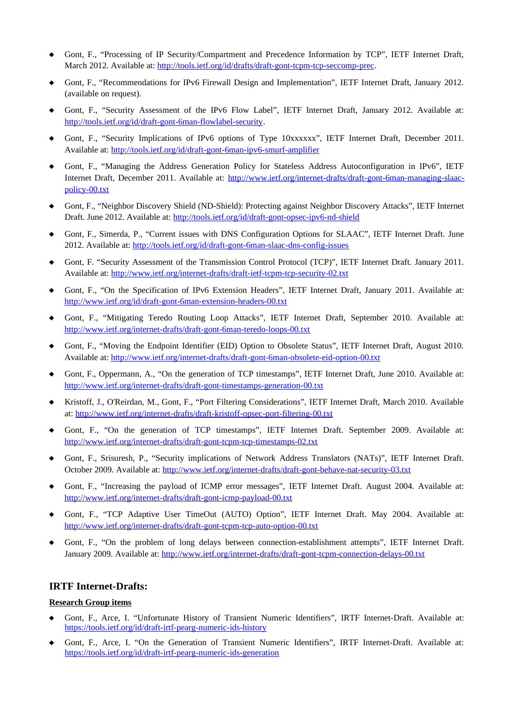- Gont, F., "Processing of IP Security/Compartment and Precedence Information by TCP", IETF Internet Draft, March 2012. Available at: [http://tools.ietf.org/id/](http://www.ietf.org/internet-drafts/draft-gont-6man-obsolete-eid-option-00.txt) [drafts/draft-gont-tcpm-tcp-seccomp-prec](http://www.ietf.org/internet-drafts/draft-gont-v6ops-ra-guard-implementation-00.txt).
- Gont, F., "Recommendations for IPv6 Firewall Design and Implementation", IETF Internet Draft, January 2012. (available on request).
- Gont, F., "Security Assessment of the IPv6 Flow Label", IETF Internet Draft, January 2012. Available at:  [http://tools.ietf.org/id/](http://www.ietf.org/internet-drafts/draft-gont-6man-obsolete-eid-option-00.txt) [draft-gont-6man-flowlabel-security](http://www.ietf.org/internet-drafts/draft-gont-6man-flowlabel-security-02.txt).
- Gont, F., "Security Implications of IPv6 options of Type 10xxxxxx", IETF Internet Draft, December 2011. Available at: [http://tools.ietf.org/id/](http://www.ietf.org/internet-drafts/draft-gont-6man-obsolete-eid-option-00.txt) [draft-gont-6man-ipv6-smurf-amplifier](http://www.ietf.org/internet-drafts/draft-gont-6man-ipv6-smurf-amplifier-00.txt)
- Gont, F., "Managing the Address Generation Policy for Stateless Address Autoconfiguration in IPv6", IETF Internet Draft, December 2011. Available at: [http://www.ietf.org/internet-drafts/draft-gont-6man-managing-slaac](http://www.ietf.org/internet-drafts/draft-gont-6man-managing-slaac-policy-00.txt)[policy-00.txt](http://www.ietf.org/internet-drafts/draft-gont-6man-managing-slaac-policy-00.txt)
- Gont, F., "Neighbor Discovery Shield (ND-Shield): Protecting against Neighbor Discovery Attacks", IETF Internet Draft. June 2012. Available at: [http://tools.ietf.org/id/draft-gont-opsec-ipv6-nd-shield](http://www.ietf.org/internet-drafts/draft-gont-6man-obsolete-eid-option-00.txt)
- Gont, F., Simerda, P., "Current issues with DNS Configuration Options for SLAAC", IETF Internet Draft. June 2012. Available at: [http://tools.ietf.org/id/draft-gont-6man-slaac-dns-config-issues](http://www.ietf.org/internet-drafts/draft-gont-6man-obsolete-eid-option-00.txt)
- Gont, F. "Security Assessment of the Transmission Control Protocol (TCP)", IETF Internet Draft. January 2011. Available at: <http://www.ietf.org/internet-drafts/draft-ietf-tcpm-tcp-security-02.txt>
- Gont, F., "On the Specification of IPv6 Extension Headers", IETF Internet Draft, January 2011. Available at: <http://www.ietf.org/id/draft-gont-6man-extension-headers-00.txt>
- Gont, F., "Mitigating Teredo Routing Loop Attacks", IETF Internet Draft, September 2010. Available at: <http://www.ietf.org/internet-drafts/draft-gont-6man-teredo-loops-00.txt>
- Gont, F., "Moving the Endpoint Identifier (EID) Option to Obsolete Status", IETF Internet Draft, August 2010. Available at: <http://www.ietf.org/internet-drafts/draft-gont-6man-obsolete-eid-option-00.txt>
- Gont, F., Oppermann, A., "On the generation of TCP timestamps", IETF Internet Draft, June 2010. Available at: <http://www.ietf.org/internet-drafts/draft-gont-timestamps-generation-00.txt>
- Kristoff, J., O'Reirdan, M., Gont, F., "Port Filtering Considerations", IETF Internet Draft, March 2010. Available at:<http://www.ietf.org/internet-drafts/draft-kristoff-opsec-port-filtering-00.txt>
- Gont, F., "On the generation of TCP timestamps", IETF Internet Draft. September 2009. Available at: <http://www.ietf.org/internet-drafts/draft-gont-tcpm-tcp-timestamps-02.txt>
- Gont, F., Srisuresh, P., "Security implications of Network Address Translators (NATs)", IETF Internet Draft. October 2009. Available at:<http://www.ietf.org/internet-drafts/draft-gont-behave-nat-security-03.txt>
- Gont, F., "Increasing the payload of ICMP error messages", IETF Internet Draft. August 2004. Available at: <http://www.ietf.org/internet-drafts/draft-gont-icmp-payload-00.txt>
- Gont, F., "TCP Adaptive User TimeOut (AUTO) Option", IETF Internet Draft. May 2004. Available at: <http://www.ietf.org/internet-drafts/draft-gont-tcpm-tcp-auto-option-00.txt>
- Gont, F., "On the problem of long delays between connection-establishment attempts", IETF Internet Draft. January 2009. Available at:<http://www.ietf.org/internet-drafts/draft-gont-tcpm-connection-delays-00.txt>

### **IRTF Internet-Drafts:**

#### **Research Group items**

- Gont, F., Arce, I. "Unfortunate History of Transient Numeric Identifiers", IRTF Internet-Draft. Available at: <https://tools.ietf.org/id/draft-irtf-pearg-numeric-ids-history>
- Gont, F., Arce, I. "On the Generation of Transient Numeric Identifiers", IRTF Internet-Draft. Available at: <https://tools.ietf.org/id/draft-irtf-pearg-numeric-ids-generation>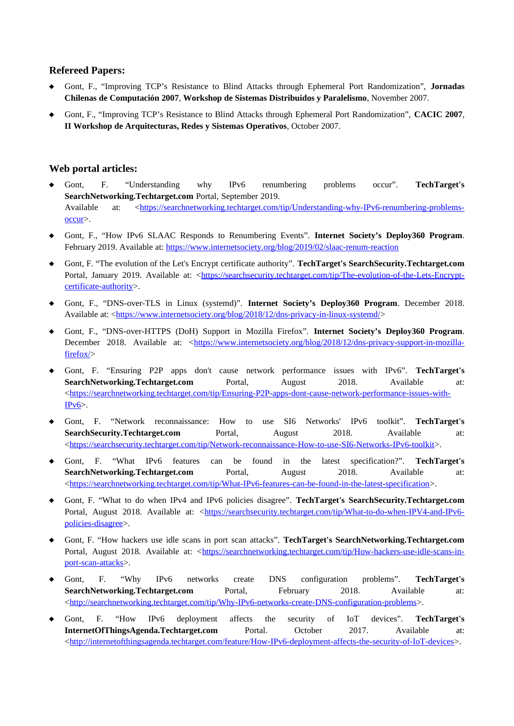### **Refereed Papers:**

- Gont, F., "Improving TCP's Resistance to Blind Attacks through Ephemeral Port Randomization", **Jornadas Chilenas de Computación 2007**, **Workshop de Sistemas Distribuidos y Paralelismo**, November 2007.
- Gont, F., "Improving TCP's Resistance to Blind Attacks through Ephemeral Port Randomization", **CACIC 2007**, **II Workshop de Arquitecturas, Redes y Sistemas Operativos**, October 2007.

### **Web portal articles:**

- Gont, F. "Understanding why IPv6 renumbering problems occur". **TechTarget's SearchNetworking.Techtarget.com** Portal, September 2019. Available at: <https://searchnetworking.techtarget.com/tip/Understanding-why-IPv6-renumbering-problemsoccur>.
- Gont, F., "How IPv6 SLAAC Responds to Renumbering Events". **Internet Society's Deploy360 Program**. February 2019. Available at:<https://www.internetsociety.org/blog/2019/02/slaac-renum-reaction>
- Gont, F. "The evolution of the Let's Encrypt certificate authority". **TechTarget's SearchSecurity.Techtarget.com** Portal, January 2019. Available at: [<https://searchsecurity.techtarget.com/tip/The-evolution-of-the-Lets-Encrypt](https://searchsecurity.techtarget.com/tip/The-evolution-of-the-Lets-Encrypt-certificate-authority)[certificate-authority](https://searchsecurity.techtarget.com/tip/The-evolution-of-the-Lets-Encrypt-certificate-authority)>.
- Gont, F., "DNS-over-TLS in Linux (systemd)". **Internet Society's Deploy360 Program**. December 2018. Available at: [<https://www.internetsociety.org/blog/2018/12/dns-privacy-in-linux-systemd/](https://www.internetsociety.org/blog/2018/12/dns-privacy-in-linux-systemd/)>
- Gont, F., "DNS-over-HTTPS (DoH) Support in Mozilla Firefox". **Internet Society's Deploy360 Program**. December 2018. Available at: <[https://www.internetsociety.org/blog/2018/12/dns-privacy-support-in-mozilla](https://www.internetsociety.org/blog/2018/12/dns-privacy-support-in-mozilla-firefox/)[firefox/](https://www.internetsociety.org/blog/2018/12/dns-privacy-support-in-mozilla-firefox/)>
- Gont, F. "Ensuring P2P apps don't cause network performance issues with IPv6". **TechTarget's SearchNetworking.Techtarget.com** Portal, August 2018. Available at: <[https://searchnetworking.techtarget.com/tip/Ensuring-P2P-apps-dont-cause-network-performance-issues-with-](https://searchnetworking.techtarget.com/tip/Ensuring-P2P-apps-dont-cause-network-performance-issues-with-IPv6) $IPv6$ .
- Gont, F. "Network reconnaissance: How to use SI6 Networks' IPv6 toolkit". **TechTarget's SearchSecurity.Techtarget.com** Portal, August 2018. Available at: <[https://searchsecurity.techtarget.com/tip/Network-reconnaissance-How-to-use-SI6-Networks-IPv6-toolkit>](https://searchsecurity.techtarget.com/tip/Network-reconnaissance-How-to-use-SI6-Networks-IPv6-toolkit).
- Gont, F. "What IPv6 features can be found in the latest specification?". **TechTarget's SearchNetworking.Techtarget.com** Portal, August 2018. Available at: <<https://searchnetworking.techtarget.com/tip/What-IPv6-features-can-be-found-in-the-latest-specification>>.
- Gont, F. "What to do when IPv4 and IPv6 policies disagree". **TechTarget's SearchSecurity.Techtarget.com** Portal, August 2018. Available at: <[https://searchsecurity.techtarget.com/tip/What-to-do-when-IPV4-and-IPv6](https://searchsecurity.techtarget.com/tip/What-to-do-when-IPV4-and-IPv6-policies-disagree) [policies-disagree>](https://searchsecurity.techtarget.com/tip/What-to-do-when-IPV4-and-IPv6-policies-disagree).
- Gont, F. "How hackers use idle scans in port scan attacks". **TechTarget's SearchNetworking.Techtarget.com** Portal, August 2018. Available at: [<https://searchnetworking.techtarget.com/tip/How-hackers-use-idle-scans-in](https://searchnetworking.techtarget.com/tip/How-hackers-use-idle-scans-in-port-scan-attacks)[port-scan-attacks](https://searchnetworking.techtarget.com/tip/How-hackers-use-idle-scans-in-port-scan-attacks)>.
- Gont, F. "Why IPv6 networks create DNS configuration problems". **TechTarget's SearchNetworking.Techtarget.com** Portal, February 2018. Available at: <<http://searchnetworking.techtarget.com/tip/Why-IPv6-networks-create-DNS-configuration-problems>>.
- Gont, F. "How IPv6 deployment affects the security of IoT devices". **TechTarget's InternetOfThingsAgenda.Techtarget.com** Portal. October 2017. Available at: <[http://internetofthingsagenda.techtarget.com/feature/How-IPv6-deployment-affects-the-security-of-IoT-devices>](http://internetofthingsagenda.techtarget.com/feature/How-IPv6-deployment-affects-the-security-of-IoT-devices).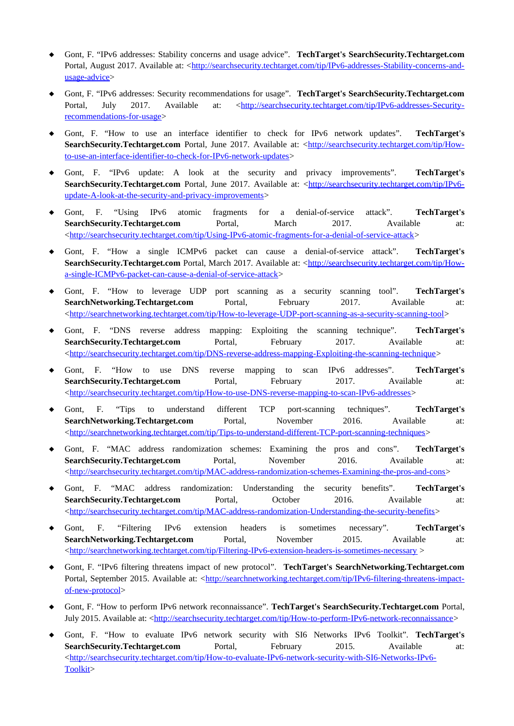- Gont, F. "IPv6 addresses: Stability concerns and usage advice". **TechTarget's SearchSecurity.Techtarget.com** Portal, August 2017. Available at: <[http://searchsecurity.techtarget.com/tip/IPv6-addresses-Stability-concerns-and](http://searchsecurity.techtarget.com/tip/IPv6-addresses-Stability-concerns-and-usage-advice)[usage-advice](http://searchsecurity.techtarget.com/tip/IPv6-addresses-Stability-concerns-and-usage-advice)>
- Gont, F. "IPv6 addresses: Security recommendations for usage". **TechTarget's SearchSecurity.Techtarget.com** Portal, July 2017. Available at: [<http://searchsecurity.techtarget.com/tip/IPv6-addresses-Security](http://searchsecurity.techtarget.com/tip/IPv6-addresses-Security-recommendations-for-usage)[recommendations-for-usage](http://searchsecurity.techtarget.com/tip/IPv6-addresses-Security-recommendations-for-usage)>
- Gont, F. "How to use an interface identifier to check for IPv6 network updates". **TechTarget's** SearchSecurity.Techtarget.com Portal, June 2017. Available at: <[http://searchsecurity.techtarget.com/tip/How](http://searchsecurity.techtarget.com/tip/How-to-use-an-interface-identifier-to-check-for-IPv6-network-updates)[to-use-an-interface-identifier-to-check-for-IPv6-network-updates](http://searchsecurity.techtarget.com/tip/How-to-use-an-interface-identifier-to-check-for-IPv6-network-updates)>
- Gont, F. "IPv6 update: A look at the security and privacy improvements". **TechTarget's SearchSecurity.Techtarget.com** Portal, June 2017. Available at: [<http://searchsecurity.techtarget.com/tip/IPv6](http://searchsecurity.techtarget.com/tip/IPv6-update-A-look-at-the-security-and-privacy-improvements) [update-A-look-at-the-security-and-privacy-improvements](http://searchsecurity.techtarget.com/tip/IPv6-update-A-look-at-the-security-and-privacy-improvements)>
- Gont, F. "Using IPv6 atomic fragments for a denial-of-service attack". **TechTarget's**<br> **SearchSecurity.Techtarget.com** Portal. March 2017. Available at: **SearchSecurity.Techtarget.com** Portal, March 2017. Available at: <[http://searchsecurity.techtarget.com/tip/Using-IPv6-atomic-fragments-for-a-denial-of-service-attack>](http://searchsecurity.techtarget.com/tip/Using-IPv6-atomic-fragments-for-a-denial-of-service-attack)
- Gont, F. "How a single ICMPv6 packet can cause a denial-of-service attack". **TechTarget's SearchSecurity.Techtarget.com** Portal, March 2017. Available at: <[http://searchsecurity.techtarget.com/tip/How](http://searchsecurity.techtarget.com/tip/How-a-single-ICMPv6-packet-can-cause-a-denial-of-service-attack)[a-single-ICMPv6-packet-can-cause-a-denial-of-service-attack>](http://searchsecurity.techtarget.com/tip/How-a-single-ICMPv6-packet-can-cause-a-denial-of-service-attack)
- Gont, F. "How to leverage UDP port scanning as a security scanning tool". **TechTarget's SearchNetworking.Techtarget.com** Portal, February 2017. Available at: <<http://searchnetworking.techtarget.com/tip/How-to-leverage-UDP-port-scanning-as-a-security-scanning-tool>>
- Gont, F. "DNS reverse address mapping: Exploiting the scanning technique". **TechTarget's SearchSecurity.Techtarget.com** Portal, February 2017. Available at: <[http://searchsecurity.techtarget.com/tip/DNS-reverse-address-mapping-Exploiting-the-scanning-technique>](http://searchsecurity.techtarget.com/tip/DNS-reverse-address-mapping-Exploiting-the-scanning-technique)
- Gont, F. "How to use DNS reverse mapping to scan IPv6 addresses". **TechTarget's SearchSecurity.Techtarget.com** Portal, February 2017. Available at: <[http://searchsecurity.techtarget.com/tip/How-to-use-DNS-reverse-mapping-to-scan-IPv6-addresses>](http://searchsecurity.techtarget.com/tip/How-to-use-DNS-reverse-mapping-to-scan-IPv6-addresses)
- Gont, F. "Tips to understand different TCP port-scanning techniques". **TechTarget's SearchNetworking.Techtarget.com** Portal, November 2016. Available at: <<http://searchnetworking.techtarget.com/tip/Tips-to-understand-different-TCP-port-scanning-techniques>>
- Gont, F. "MAC address randomization schemes: Examining the pros and cons". **TechTarget's**<br> **SearchSecurity.Techtarget.com** Portal. November 2016. Available at: **SearchSecurity.Techtarget.com** Portal, November 2016. Available at: <[http://searchsecurity.techtarget.com/tip/MAC-address-randomization-schemes-Examining-the-pros-and-cons>](http://searchsecurity.techtarget.com/tip/MAC-address-randomization-schemes-Examining-the-pros-and-cons)
- Gont, F. "MAC address randomization: Understanding the security benefits". **TechTarget's SearchSecurity.Techtarget.com** Portal, October 2016. Available at: <<http://searchsecurity.techtarget.com/tip/MAC-address-randomization-Understanding-the-security-benefits>>
- Gont, F. "Filtering IPv6 extension headers is sometimes necessary". **TechTarget's SearchNetworking.Techtarget.com** Portal, November 2015. Available at: <<http://searchnetworking.techtarget.com/tip/Filtering-IPv6-extension-headers-is-sometimes-necessary>>
- Gont, F. "IPv6 filtering threatens impact of new protocol". **TechTarget's SearchNetworking.Techtarget.com** Portal, September 2015. Available at: <[http://searchnetworking.techtarget.com/tip/IPv6-filtering-threatens-impact](http://searchnetworking.techtarget.com/tip/IPv6-filtering-threatens-impact-of-new-protocol)[of-new-protocol](http://searchnetworking.techtarget.com/tip/IPv6-filtering-threatens-impact-of-new-protocol)>
- Gont, F. "How to perform IPv6 network reconnaissance". **TechTarget's SearchSecurity.Techtarget.com** Portal, July 2015. Available at: <http://searchsecurity.techtarget.com/tip/How-to-perform-IPv6-network-reconnaissance>
- Gont, F. "How to evaluate IPv6 network security with SI6 Networks IPv6 Toolkit". **TechTarget's SearchSecurity.Techtarget.com** Portal, February 2015. Available at: <[http://searchsecurity.techtarget.com/tip/How-to-evaluate-IPv6-network-security-with-SI6-Networks-IPv6-](http://searchsecurity.techtarget.com/tip/How-to-evaluate-IPv6-network-security-with-SI6-Networks-IPv6-Toolkit) [Toolkit](http://searchsecurity.techtarget.com/tip/How-to-evaluate-IPv6-network-security-with-SI6-Networks-IPv6-Toolkit)>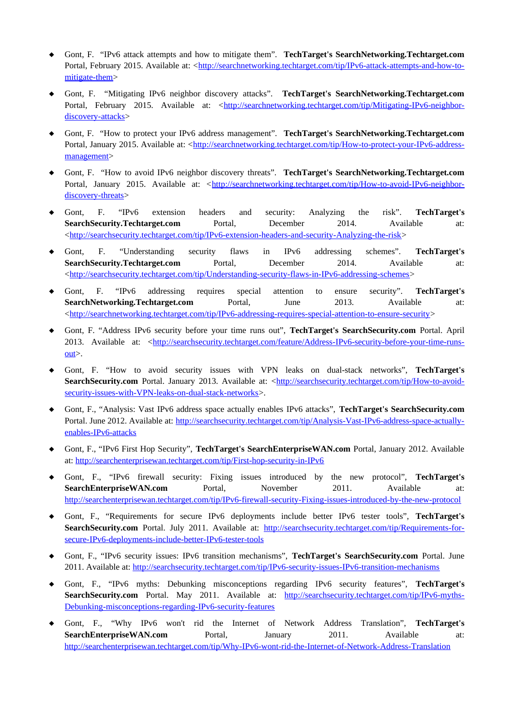- Gont, F. "IPv6 attack attempts and how to mitigate them". **TechTarget's SearchNetworking.Techtarget.com** Portal, February 2015. Available at: <[http://searchnetworking.techtarget.com/tip/IPv6-attack-attempts-and-how-to](http://searchnetworking.techtarget.com/tip/IPv6-attack-attempts-and-how-to-mitigate-them)[mitigate-them](http://searchnetworking.techtarget.com/tip/IPv6-attack-attempts-and-how-to-mitigate-them)>
- Gont, F. "Mitigating IPv6 neighbor discovery attacks". **TechTarget's SearchNetworking.Techtarget.com** Portal, February 2015. Available at: [<http://searchnetworking.techtarget.com/tip/Mitigating-IPv6-neighbor](http://searchnetworking.techtarget.com/tip/Mitigating-IPv6-neighbor-discovery-attacks)[discovery-attacks](http://searchnetworking.techtarget.com/tip/Mitigating-IPv6-neighbor-discovery-attacks)>
- Gont, F. "How to protect your IPv6 address management". **TechTarget's SearchNetworking.Techtarget.com** Portal, January 2015. Available at: <[http://searchnetworking.techtarget.com/tip/How-to-protect-your-IPv6-address](http://searchnetworking.techtarget.com/tip/How-to-protect-your-IPv6-address-management)[management](http://searchnetworking.techtarget.com/tip/How-to-protect-your-IPv6-address-management)>
- Gont, F. "How to avoid IPv6 neighbor discovery threats". **TechTarget's SearchNetworking.Techtarget.com** Portal, January 2015. Available at: [<http://searchnetworking.techtarget.com/tip/How-to-avoid-IPv6-neighbor](http://searchnetworking.techtarget.com/tip/How-to-avoid-IPv6-neighbor-discovery-threats)[discovery-threats>](http://searchnetworking.techtarget.com/tip/How-to-avoid-IPv6-neighbor-discovery-threats)
- Gont, F. "IPv6 extension headers and security: Analyzing the risk". **TechTarget's SearchSecurity.Techtarget.com** Portal, December 2014. Available at: <[http://searchsecurity.techtarget.com/tip/IPv6-extension-headers-and-security-Analyzing-the-risk>](http://searchsecurity.techtarget.com/tip/IPv6-extension-headers-and-security-Analyzing-the-risk)
- Gont, F. "Understanding security flaws in IPv6 addressing schemes". **TechTarget's** SearchSecurity.Techtarget.com Portal, December 2014. Available at: <<http://searchsecurity.techtarget.com/tip/Understanding-security-flaws-in-IPv6-addressing-schemes>>
- Gont, F. "IPv6 addressing requires special attention to ensure security". **TechTarget's SearchNetworking.Techtarget.com** Portal, June 2013. Available at: <[http://searchnetworking.techtarget.com/tip/IPv6-addressing-requires-special-attention-to-ensure-security>](http://searchnetworking.techtarget.com/tip/IPv6-addressing-requires-special-attention-to-ensure-security)
- Gont, F. "Address IPv6 security before your time runs out", **TechTarget's SearchSecurity.com** Portal. April 2013. Available at: <[http://searchsecurity.techtarget.com/feature/Address-IPv6-security-before-your-time-runs](http://searchsecurity.techtarget.com/feature/Address-IPv6-security-before-your-time-runs-out) $out$ .
- Gont, F. "How to avoid security issues with VPN leaks on dual-stack networks", **TechTarget's** SearchSecurity.com Portal. January 2013. Available at: [<http://searchsecurity.techtarget.com/tip/How-to-avoid](http://searchsecurity.techtarget.com/tip/How-to-avoid-security-issues-with-VPN-leaks-on-dual-stack-networks)[security-issues-with-VPN-leaks-on-dual-stack-networks](http://searchsecurity.techtarget.com/tip/How-to-avoid-security-issues-with-VPN-leaks-on-dual-stack-networks)>.
- Gont, F., "Analysis: Vast IPv6 address space actually enables IPv6 attacks", **TechTarget's SearchSecurity.com** Portal. June 2012. Available at: http://searchsecurity.techtarget.com/tip/Analysis-Vast-IPv6-address-space-actuallyenables-IPv6-attacks
- Gont, F., "IPv6 First Hop Security", **TechTarget's SearchEnterpriseWAN.com** Portal, January 2012. Available at:<http://searchenterprisewan.techtarget.com/tip/First-hop-security-in-IPv6>
- Gont, F., "IPv6 firewall security: Fixing issues introduced by the new protocol", **TechTarget's SearchEnterpriseWAN.com** Portal, November 2011. Available at: <http://searchenterprisewan.techtarget.com/tip/IPv6-firewall-security-Fixing-issues-introduced-by-the-new-protocol>
- Gont, F., "Requirements for secure IPv6 deployments include better IPv6 tester tools", **TechTarget's** SearchSecurity.com Portal. July 2011. Available at: [http://searchsecurity.techtarget.com/tip/Requirements-for](http://searchsecurity.techtarget.com/tip/Requirements-for-secure-IPv6-deployments-include-better-IPv6-tester-tools)[secure-IPv6-deployments-include-better-IPv6-tester-tools](http://searchsecurity.techtarget.com/tip/Requirements-for-secure-IPv6-deployments-include-better-IPv6-tester-tools)
- Gont, F., "IPv6 security issues: IPv6 transition mechanisms", **TechTarget's SearchSecurity.com** Portal. June 2011. Available at: <http://searchsecurity.techtarget.com/tip/IPv6-security-issues-IPv6-transition-mechanisms>
- Gont, F., "IPv6 myths: Debunking misconceptions regarding IPv6 security features", **TechTarget's** SearchSecurity.com Portal. May 2011. Available at: [http://searchsecurity.techtarget.com/tip/IPv6-myths-](http://searchsecurity.techtarget.com/tip/IPv6-myths-Debunking-misconceptions-regarding-IPv6-security-features)[Debunking-misconceptions-regarding-IPv6-security-features](http://searchsecurity.techtarget.com/tip/IPv6-myths-Debunking-misconceptions-regarding-IPv6-security-features)
- Gont, F., "Why IPv6 won't rid the Internet of Network Address Translation", **TechTarget's SearchEnterpriseWAN.com** Portal, January 2011. Available at: <http://searchenterprisewan.techtarget.com/tip/Why-IPv6-wont-rid-the-Internet-of-Network-Address-Translation>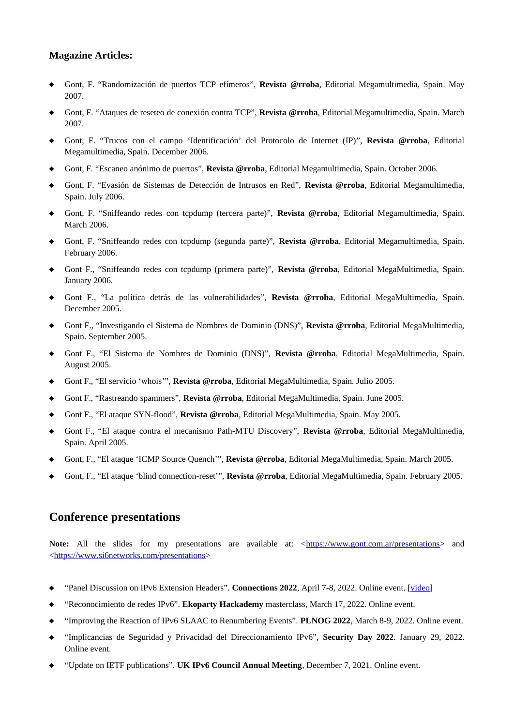### **Magazine Articles:**

- Gont, F. "Randomización de puertos TCP efímeros", **Revista @rroba**, Editorial Megamultimedia, Spain. May 2007.
- Gont, F. "Ataques de reseteo de conexión contra TCP", **Revista @rroba**, Editorial Megamultimedia, Spain. March 2007.
- Gont, F. "Trucos con el campo 'Identificación' del Protocolo de Internet (IP)", **Revista @rroba**, Editorial Megamultimedia, Spain. December 2006.
- Gont, F. "Escaneo anónimo de puertos", **Revista @rroba**, Editorial Megamultimedia, Spain. October 2006.
- Gont, F. "Evasión de Sistemas de Detección de Intrusos en Red", **Revista @rroba**, Editorial Megamultimedia, Spain. July 2006.
- Gont, F. "Sniffeando redes con tcpdump (tercera parte)", **Revista @rroba**, Editorial Megamultimedia, Spain. March 2006.
- Gont, F. "Sniffeando redes con tcpdump (segunda parte)", **Revista @rroba**, Editorial Megamultimedia, Spain. February 2006.
- Gont F., "Sniffeando redes con tcpdump (primera parte)", **Revista @rroba**, Editorial MegaMultimedia, Spain. January 2006.
- Gont F., "La política detrás de las vulnerabilidades", **Revista @rroba**, Editorial MegaMultimedia, Spain. December 2005.
- Gont F., "Investigando el Sistema de Nombres de Dominio (DNS)", **Revista @rroba**, Editorial MegaMultimedia, Spain. September 2005.
- Gont F., "El Sistema de Nombres de Dominio (DNS)", **Revista @rroba**, Editorial MegaMultimedia, Spain. August 2005.
- Gont F., "El servicio 'whois'", **Revista @rroba**, Editorial MegaMultimedia, Spain. Julio 2005.
- Gont F., "Rastreando spammers", **Revista @rroba**, Editorial MegaMultimedia, Spain. June 2005.
- Gont F., "El ataque SYN-flood", **Revista @rroba**, Editorial MegaMultimedia, Spain. May 2005.
- Gont F., "El ataque contra el mecanismo Path-MTU Discovery", **Revista @rroba**, Editorial MegaMultimedia, Spain. April 2005.
- Gont, F., "El ataque 'ICMP Source Quench'", **Revista @rroba**, Editorial MegaMultimedia, Spain. March 2005.
- Gont, F., "El ataque 'blind connection-reset'", **Revista @rroba**, Editorial MegaMultimedia, Spain. February 2005.

### **Conference presentations**

**Note:** All the slides for my presentations are available at: <<https://www.gont.com.ar/presentations>> and <<https://www.si6networks.com/presentations>>

- ◆ "Panel Discussion on IPv6 Extension Headers". **Connections 2022**, April 7-8, 2022. Online event. [\[video](https://youtu.be/ZdK3S-_plfw?t=4825)]
- "Reconocimiento de redes IPv6". **Ekoparty Hackademy** masterclass, March 17, 2022. Online event.
- "Improving the Reaction of IPv6 SLAAC to Renumbering Events". **PLNOG 2022**, March 8-9, 2022. Online event.
- "Implicancias de Seguridad y Privacidad del Direccionamiento IPv6", **Security Day 2022**. January 29, 2022. Online event.
- "Update on IETF publications". **UK IPv6 Council Annual Meeting**, December 7, 2021. Online event.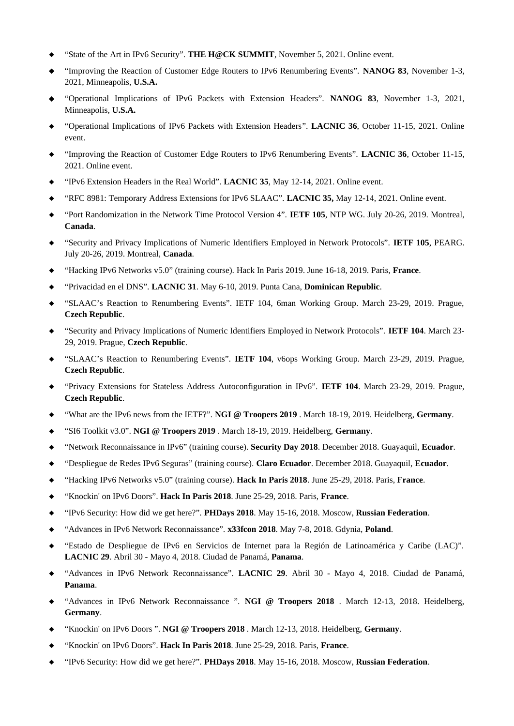- "State of the Art in IPv6 Security". **THE H@CK SUMMIT**, November 5, 2021. Online event.
- "Improving the Reaction of Customer Edge Routers to IPv6 Renumbering Events". **NANOG 83**, November 1-3, 2021, Minneapolis, **U.S.A.**
- "Operational Implications of IPv6 Packets with Extension Headers". **NANOG 83**, November 1-3, 2021, Minneapolis, **U.S.A.**
- "Operational Implications of IPv6 Packets with Extension Headers". **LACNIC 36**, October 11-15, 2021. Online event.
- "Improving the Reaction of Customer Edge Routers to IPv6 Renumbering Events". **LACNIC 36**, October 11-15, 2021. Online event.
- "IPv6 Extension Headers in the Real World". **LACNIC 35**, May 12-14, 2021. Online event.
- "RFC 8981: Temporary Address Extensions for IPv6 SLAAC". **LACNIC 35,** May 12-14, 2021. Online event.
- "Port Randomization in the Network Time Protocol Version 4". **IETF 105**, NTP WG. July 20-26, 2019. Montreal, **Canada**.
- "Security and Privacy Implications of Numeric Identifiers Employed in Network Protocols". **IETF 105**, PEARG. July 20-26, 2019. Montreal, **Canada**.
- "Hacking IPv6 Networks v5.0" (training course). Hack In Paris 2019. June 16-18, 2019. Paris, **France**.
- "Privacidad en el DNS". **LACNIC 31**. May 6-10, 2019. Punta Cana, **Dominican Republic**.
- "SLAAC's Reaction to Renumbering Events". IETF 104, 6man Working Group. March 23-29, 2019. Prague, **Czech Republic**.
- "Security and Privacy Implications of Numeric Identifiers Employed in Network Protocols". **IETF 104**. March 23- 29, 2019. Prague, **Czech Republic**.
- "SLAAC's Reaction to Renumbering Events". **IETF 104**, v6ops Working Group. March 23-29, 2019. Prague, **Czech Republic**.
- "Privacy Extensions for Stateless Address Autoconfiguration in IPv6". **IETF 104**. March 23-29, 2019. Prague, **Czech Republic**.
- "What are the IPv6 news from the IETF?". **NGI @ Troopers 2019** . March 18-19, 2019. Heidelberg, **Germany**.
- "SI6 Toolkit v3.0". **NGI @ Troopers 2019** . March 18-19, 2019. Heidelberg, **Germany**.
- "Network Reconnaissance in IPv6" (training course). **Security Day 2018**. December 2018. Guayaquil, **Ecuador**.
- "Despliegue de Redes IPv6 Seguras" (training course). **Claro Ecuador**. December 2018. Guayaquil, **Ecuador**.
- "Hacking IPv6 Networks v5.0" (training course). **Hack In Paris 2018**. June 25-29, 2018. Paris, **France**.
- "Knockin' on IPv6 Doors". **Hack In Paris 2018**. June 25-29, 2018. Paris, **France**.
- "IPv6 Security: How did we get here?". **PHDays 2018**. May 15-16, 2018. Moscow, **Russian Federation**.
- "Advances in IPv6 Network Reconnaissance". **x33fcon 2018**. May 7-8, 2018. Gdynia, **Poland**.
- "Estado de Despliegue de IPv6 en Servicios de Internet para la Región de Latinoamérica y Caribe (LAC)". **LACNIC 29**. Abril 30 - Mayo 4, 2018. Ciudad de Panamá, **Panama**.
- "Advances in IPv6 Network Reconnaissance". **LACNIC 29**. Abril 30 Mayo 4, 2018. Ciudad de Panamá, **Panama**.
- "Advances in IPv6 Network Reconnaissance ". **NGI @ Troopers 2018** . March 12-13, 2018. Heidelberg, **Germany**.
- "Knockin' on IPv6 Doors ". **NGI @ Troopers 2018** . March 12-13, 2018. Heidelberg, **Germany**.
- "Knockin' on IPv6 Doors". **Hack In Paris 2018**. June 25-29, 2018. Paris, **France**.
- "IPv6 Security: How did we get here?". **PHDays 2018**. May 15-16, 2018. Moscow, **Russian Federation**.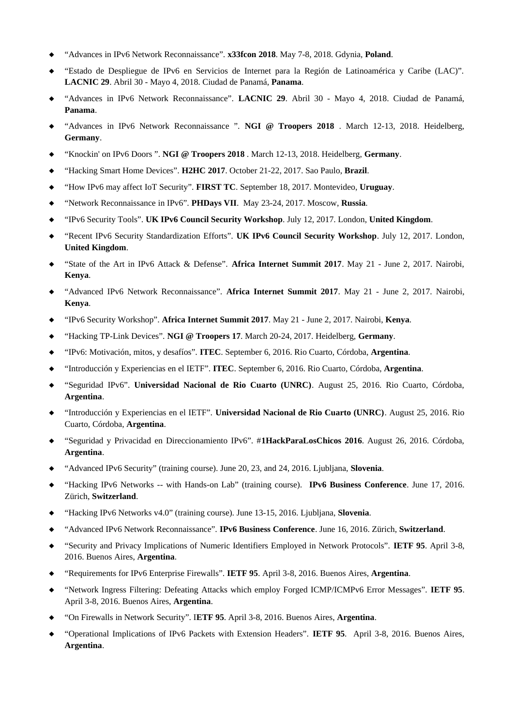- "Advances in IPv6 Network Reconnaissance". **x33fcon 2018**. May 7-8, 2018. Gdynia, **Poland**.
- "Estado de Despliegue de IPv6 en Servicios de Internet para la Región de Latinoamérica y Caribe (LAC)". **LACNIC 29**. Abril 30 - Mayo 4, 2018. Ciudad de Panamá, **Panama**.
- "Advances in IPv6 Network Reconnaissance". **LACNIC 29**. Abril 30 Mayo 4, 2018. Ciudad de Panamá, **Panama**.
- "Advances in IPv6 Network Reconnaissance ". **NGI @ Troopers 2018** . March 12-13, 2018. Heidelberg, **Germany**.
- "Knockin' on IPv6 Doors ". **NGI @ Troopers 2018** . March 12-13, 2018. Heidelberg, **Germany**.
- "Hacking Smart Home Devices". **H2HC 2017**. October 21-22, 2017. Sao Paulo, **Brazil**.
- "How IPv6 may affect IoT Security". **FIRST TC**. September 18, 2017. Montevideo, **Uruguay**.
- "Network Reconnaissance in IPv6". **PHDays VII**. May 23-24, 2017. Moscow, **Russia**.
- "IPv6 Security Tools". **UK IPv6 Council Security Workshop**. July 12, 2017. London, **United Kingdom**.
- "Recent IPv6 Security Standardization Efforts". **UK IPv6 Council Security Workshop**. July 12, 2017. London, **United Kingdom**.
- "State of the Art in IPv6 Attack & Defense". **Africa Internet Summit 2017**. May 21 June 2, 2017. Nairobi, **Kenya**.
- "Advanced IPv6 Network Reconnaissance". **Africa Internet Summit 2017**. May 21 June 2, 2017. Nairobi, **Kenya**.
- "IPv6 Security Workshop". **Africa Internet Summit 2017**. May 21 June 2, 2017. Nairobi, **Kenya**.
- "Hacking TP-Link Devices". **NGI @ Troopers 17**. March 20-24, 2017. Heidelberg, **Germany**.
- "IPv6: Motivación, mitos, y desafíos". **ITEC**. September 6, 2016. Rio Cuarto, Córdoba, **Argentina**.
- "Introducción y Experiencias en el IETF". **ITEC**. September 6, 2016. Rio Cuarto, Córdoba, **Argentina**.
- "Seguridad IPv6". **Universidad Nacional de Rio Cuarto (UNRC)**. August 25, 2016. Rio Cuarto, Córdoba, **Argentina**.
- "Introducción y Experiencias en el IETF". **Universidad Nacional de Rio Cuarto (UNRC)**. August 25, 2016. Rio Cuarto, Córdoba, **Argentina**.
- "Seguridad y Privacidad en Direccionamiento IPv6". #**1HackParaLosChicos 2016**. August 26, 2016. Córdoba, **Argentina**.
- "Advanced IPv6 Security" (training course). June 20, 23, and 24, 2016. Ljubljana, **Slovenia**.
- "Hacking IPv6 Networks -- with Hands-on Lab" (training course). **IPv6 Business Conference**. June 17, 2016. Zürich, **Switzerland**.
- "Hacking IPv6 Networks v4.0" (training course). June 13-15, 2016. Ljubljana, **Slovenia**.
- "Advanced IPv6 Network Reconnaissance". **IPv6 Business Conference**. June 16, 2016. Zürich, **Switzerland**.
- "Security and Privacy Implications of Numeric Identifiers Employed in Network Protocols". **IETF 95**. April 3-8, 2016. Buenos Aires, **Argentina**.
- "Requirements for IPv6 Enterprise Firewalls". **IETF 95**. April 3-8, 2016. Buenos Aires, **Argentina**.
- "Network Ingress Filtering: Defeating Attacks which employ Forged ICMP/ICMPv6 Error Messages". **IETF 95**. April 3-8, 2016. Buenos Aires, **Argentina**.
- "On Firewalls in Network Security". I**ETF 95**. April 3-8, 2016. Buenos Aires, **Argentina**.
- "Operational Implications of IPv6 Packets with Extension Headers". **IETF 95**. April 3-8, 2016. Buenos Aires, **Argentina**.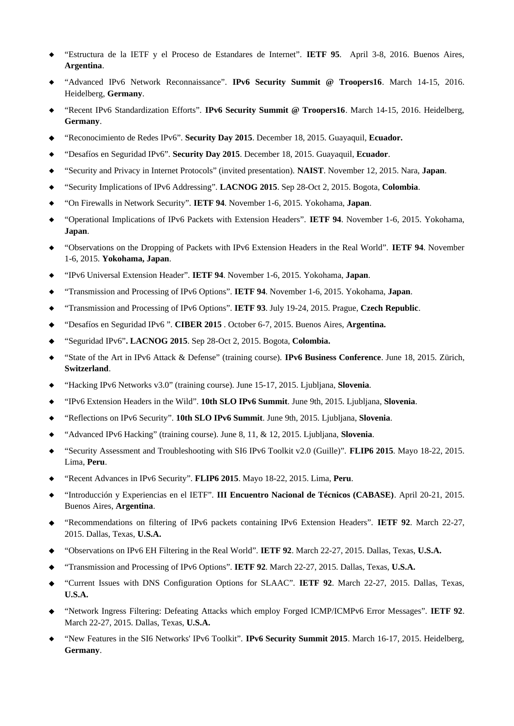- "Estructura de la IETF y el Proceso de Estandares de Internet". **IETF 95**. April 3-8, 2016. Buenos Aires, **Argentina**.
- "Advanced IPv6 Network Reconnaissance". **IPv6 Security Summit @ Troopers16**. March 14-15, 2016. Heidelberg, **Germany**.
- "Recent IPv6 Standardization Efforts". **IPv6 Security Summit @ Troopers16**. March 14-15, 2016. Heidelberg, **Germany**.
- "Reconocimiento de Redes IPv6". **Security Day 2015**. December 18, 2015. Guayaquil, **Ecuador.**
- "Desafíos en Seguridad IPv6". **Security Day 2015**. December 18, 2015. Guayaquil, **Ecuador**.
- "Security and Privacy in Internet Protocols" (invited presentation). **NAIST**. November 12, 2015. Nara, **Japan**.
- "Security Implications of IPv6 Addressing". **LACNOG 2015**. Sep 28-Oct 2, 2015. Bogota, **Colombia**.
- "On Firewalls in Network Security". **IETF 94**. November 1-6, 2015. Yokohama, **Japan**.
- "Operational Implications of IPv6 Packets with Extension Headers". **IETF 94**. November 1-6, 2015. Yokohama, **Japan**.
- "Observations on the Dropping of Packets with IPv6 Extension Headers in the Real World". **IETF 94**. November 1-6, 2015. **Yokohama, Japan**.
- "IPv6 Universal Extension Header". **IETF 94**. November 1-6, 2015. Yokohama, **Japan**.
- "Transmission and Processing of IPv6 Options". **IETF 94**. November 1-6, 2015. Yokohama, **Japan**.
- "Transmission and Processing of IPv6 Options". **IETF 93**. July 19-24, 2015. Prague, **Czech Republic**.
- "Desafíos en Seguridad IPv6 ". **CIBER 2015** . October 6-7, 2015. Buenos Aires, **Argentina.**
- "Seguridad IPv6"**. LACNOG 2015**. Sep 28-Oct 2, 2015. Bogota, **Colombia.**
- "State of the Art in IPv6 Attack & Defense" (training course). **IPv6 Business Conference**. June 18, 2015. Zürich, **Switzerland**.
- "Hacking IPv6 Networks v3.0" (training course). June 15-17, 2015. Ljubljana, **Slovenia**.
- "IPv6 Extension Headers in the Wild". **10th SLO IPv6 Summit**. June 9th, 2015. Ljubljana, **Slovenia**.
- "Reflections on IPv6 Security". **10th SLO IPv6 Summit**. June 9th, 2015. Ljubljana, **Slovenia**.
- "Advanced IPv6 Hacking" (training course). June 8, 11, & 12, 2015. Ljubljana, **Slovenia**.
- "Security Assessment and Troubleshooting with SI6 IPv6 Toolkit v2.0 (Guille)". **FLIP6 2015**. Mayo 18-22, 2015. Lima, **Peru**.
- "Recent Advances in IPv6 Security". **FLIP6 2015**. Mayo 18-22, 2015. Lima, **Peru**.
- "Introducción y Experiencias en el IETF". **III Encuentro Nacional de Técnicos (CABASE)**. April 20-21, 2015. Buenos Aires, **Argentina**.
- "Recommendations on filtering of IPv6 packets containing IPv6 Extension Headers". **IETF 92**. March 22-27, 2015. Dallas, Texas, **U.S.A.**
- "Observations on IPv6 EH Filtering in the Real World". **IETF 92**. March 22-27, 2015. Dallas, Texas, **U.S.A.**
- "Transmission and Processing of IPv6 Options". **IETF 92**. March 22-27, 2015. Dallas, Texas, **U.S.A.**
- "Current Issues with DNS Configuration Options for SLAAC". **IETF 92**. March 22-27, 2015. Dallas, Texas, **U.S.A.**
- "Network Ingress Filtering: Defeating Attacks which employ Forged ICMP/ICMPv6 Error Messages". **IETF 92**. March 22-27, 2015. Dallas, Texas, **U.S.A.**
- "New Features in the SI6 Networks' IPv6 Toolkit". **IPv6 Security Summit 2015**. March 16-17, 2015. Heidelberg, **Germany**.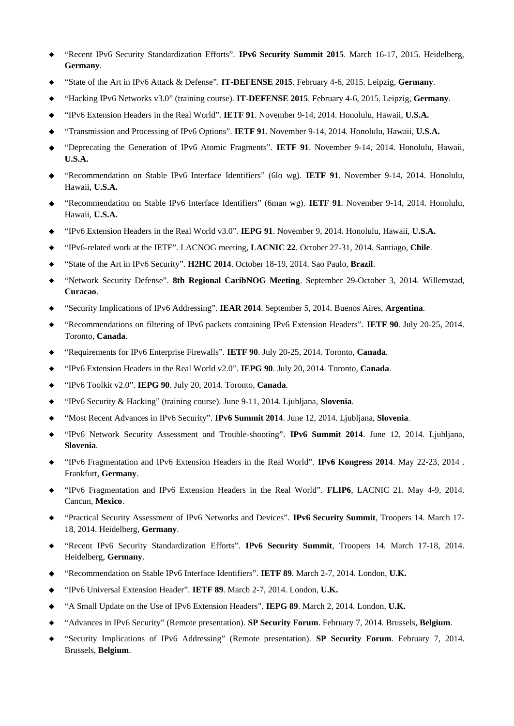- "Recent IPv6 Security Standardization Efforts". **IPv6 Security Summit 2015**. March 16-17, 2015. Heidelberg, **Germany**.
- "State of the Art in IPv6 Attack & Defense". **IT-DEFENSE 2015**. February 4-6, 2015. Leipzig, **Germany**.
- "Hacking IPv6 Networks v3.0" (training course). **IT-DEFENSE 2015**. February 4-6, 2015. Leipzig, **Germany**.
- "IPv6 Extension Headers in the Real World". **IETF 91**. November 9-14, 2014. Honolulu, Hawaii, **U.S.A.**
- "Transmission and Processing of IPv6 Options". **IETF 91**. November 9-14, 2014. Honolulu, Hawaii, **U.S.A.**
- "Deprecating the Generation of IPv6 Atomic Fragments". **IETF 91**. November 9-14, 2014. Honolulu, Hawaii, **U.S.A.**
- "Recommendation on Stable IPv6 Interface Identifiers" (6lo wg). **IETF 91**. November 9-14, 2014. Honolulu, Hawaii, **U.S.A.**
- "Recommendation on Stable IPv6 Interface Identifiers" (6man wg). **IETF 91**. November 9-14, 2014. Honolulu, Hawaii, **U.S.A.**
- "IPv6 Extension Headers in the Real World v3.0". **IEPG 91**. November 9, 2014. Honolulu, Hawaii, **U.S.A.**
- "IPv6-related work at the IETF". LACNOG meeting, **LACNIC 22**. October 27-31, 2014. Santiago, **Chile**.
- "State of the Art in IPv6 Security". **H2HC 2014**. October 18-19, 2014. Sao Paulo, **Brazil**.
- "Network Security Defense". **8th Regional CaribNOG Meeting**. September 29-October 3, 2014. Willemstad, **Curacao**.
- "Security Implications of IPv6 Addressing". **IEAR 2014**. September 5, 2014. Buenos Aires, **Argentina**.
- "Recommendations on filtering of IPv6 packets containing IPv6 Extension Headers". **IETF 90**. July 20-25, 2014. Toronto, **Canada**.
- "Requirements for IPv6 Enterprise Firewalls". **IETF 90**. July 20-25, 2014. Toronto, **Canada**.
- "IPv6 Extension Headers in the Real World v2.0". **IEPG 90**. July 20, 2014. Toronto, **Canada**.
- "IPv6 Toolkit v2.0". **IEPG 90**. July 20, 2014. Toronto, **Canada**.
- "IPv6 Security & Hacking" (training course). June 9-11, 2014. Ljubljana, **Slovenia**.
- "Most Recent Advances in IPv6 Security". **IPv6 Summit 2014**. June 12, 2014. Ljubljana, **Slovenia**.
- "IPv6 Network Security Assessment and Trouble-shooting". **IPv6 Summit 2014**. June 12, 2014. Ljubljana, **Slovenia**.
- "IPv6 Fragmentation and IPv6 Extension Headers in the Real World". **IPv6 Kongress 2014**. May 22-23, 2014 . Frankfurt, **Germany**.
- "IPv6 Fragmentation and IPv6 Extension Headers in the Real World". **FLIP6**, LACNIC 21. May 4-9, 2014. Cancun, **Mexico**.
- "Practical Security Assessment of IPv6 Networks and Devices". **IPv6 Security Summit**, Troopers 14. March 17- 18, 2014. Heidelberg, **Germany**.
- "Recent IPv6 Security Standardization Efforts". **IPv6 Security Summit**, Troopers 14. March 17-18, 2014. Heidelberg, **Germany**.
- "Recommendation on Stable IPv6 Interface Identifiers". **IETF 89**. March 2-7, 2014. London, **U.K.**
- "IPv6 Universal Extension Header". **IETF 89**. March 2-7, 2014. London, **U.K.**
- "A Small Update on the Use of IPv6 Extension Headers". **IEPG 89**. March 2, 2014. London, **U.K.**
- "Advances in IPv6 Security" (Remote presentation). **SP Security Forum**. February 7, 2014. Brussels, **Belgium**.
- "Security Implications of IPv6 Addressing" (Remote presentation). **SP Security Forum**. February 7, 2014. Brussels, **Belgium**.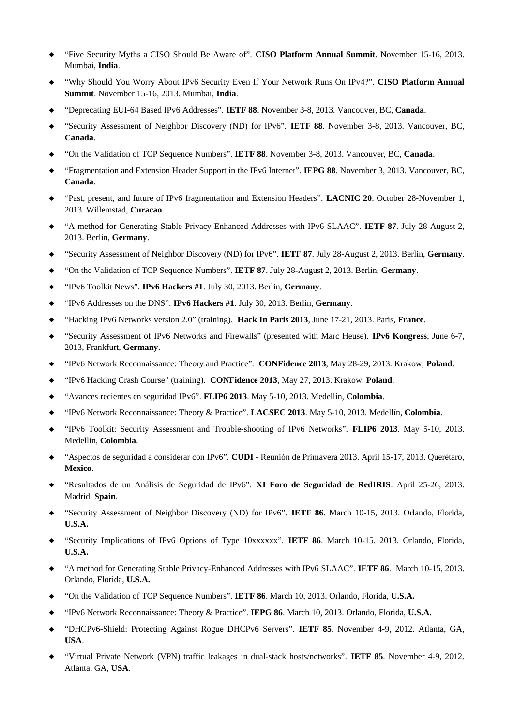- "Five Security Myths a CISO Should Be Aware of". **CISO Platform Annual Summit**. November 15-16, 2013. Mumbai, **India**.
- "Why Should You Worry About IPv6 Security Even If Your Network Runs On IPv4?". **CISO Platform Annual Summit**. November 15-16, 2013. Mumbai, **India**.
- "Deprecating EUI-64 Based IPv6 Addresses". **IETF 88**. November 3-8, 2013. Vancouver, BC, **Canada**.
- "Security Assessment of Neighbor Discovery (ND) for IPv6". **IETF 88**. November 3-8, 2013. Vancouver, BC, **Canada**.
- "On the Validation of TCP Sequence Numbers". **IETF 88**. November 3-8, 2013. Vancouver, BC, **Canada**.
- "Fragmentation and Extension Header Support in the IPv6 Internet". **IEPG 88**. November 3, 2013. Vancouver, BC, **Canada**.
- "Past, present, and future of IPv6 fragmentation and Extension Headers". **LACNIC 20**. October 28-November 1, 2013. Willemstad, **Curacao**.
- "A method for Generating Stable Privacy-Enhanced Addresses with IPv6 SLAAC". **IETF 87**. July 28-August 2, 2013. Berlin, **Germany**.
- "Security Assessment of Neighbor Discovery (ND) for IPv6". **IETF 87**. July 28-August 2, 2013. Berlin, **Germany**.
- "On the Validation of TCP Sequence Numbers". **IETF 87**. July 28-August 2, 2013. Berlin, **Germany**.
- "IPv6 Toolkit News". **IPv6 Hackers #1**. July 30, 2013. Berlin, **Germany**.
- "IPv6 Addresses on the DNS". **IPv6 Hackers #1**. July 30, 2013. Berlin, **Germany**.
- "Hacking IPv6 Networks version 2.0" (training). **Hack In Paris 2013**, June 17-21, 2013. Paris, **France**.
- "Security Assessment of IPv6 Networks and Firewalls" (presented with Marc Heuse). **IPv6 Kongress**, June 6-7, 2013, Frankfurt, **Germany**.
- "IPv6 Network Reconnaissance: Theory and Practice". **CONFidence 2013**, May 28-29, 2013. Krakow, **Poland**.
- "IPv6 Hacking Crash Course" (training). **CONFidence 2013**, May 27, 2013. Krakow, **Poland**.
- "Avances recientes en seguridad IPv6". **FLIP6 2013**. May 5-10, 2013. Medellín, **Colombia**.
- "IPv6 Network Reconnaissance: Theory & Practice". **LACSEC 2013**. May 5-10, 2013. Medellín, **Colombia**.
- "IPv6 Toolkit: Security Assessment and Trouble-shooting of IPv6 Networks". **FLIP6 2013**. May 5-10, 2013. Medellín, **Colombia**.
- "Aspectos de seguridad a considerar con IPv6". **CUDI** Reunión de Primavera 2013. April 15-17, 2013. Querétaro, **Mexico**.
- "Resultados de un Análisis de Seguridad de IPv6". **XI Foro de Seguridad de RedIRIS**. April 25-26, 2013. Madrid, **Spain**.
- "Security Assessment of Neighbor Discovery (ND) for IPv6". **IETF 86**. March 10-15, 2013. Orlando, Florida, **U.S.A.**
- "Security Implications of IPv6 Options of Type 10xxxxxx". **IETF 86**. March 10-15, 2013. Orlando, Florida, **U.S.A.**
- "A method for Generating Stable Privacy-Enhanced Addresses with IPv6 SLAAC". **IETF 86**. March 10-15, 2013. Orlando, Florida, **U.S.A.**
- "On the Validation of TCP Sequence Numbers". **IETF 86**. March 10, 2013. Orlando, Florida, **U.S.A.**
- "IPv6 Network Reconnaissance: Theory & Practice". **IEPG 86**. March 10, 2013. Orlando, Florida, **U.S.A.**
- "DHCPv6-Shield: Protecting Against Rogue DHCPv6 Servers". **IETF 85**. November 4-9, 2012. Atlanta, GA, **USA**.
- "Virtual Private Network (VPN) traffic leakages in dual-stack hosts/networks". **IETF 85**. November 4-9, 2012. Atlanta, GA, **USA**.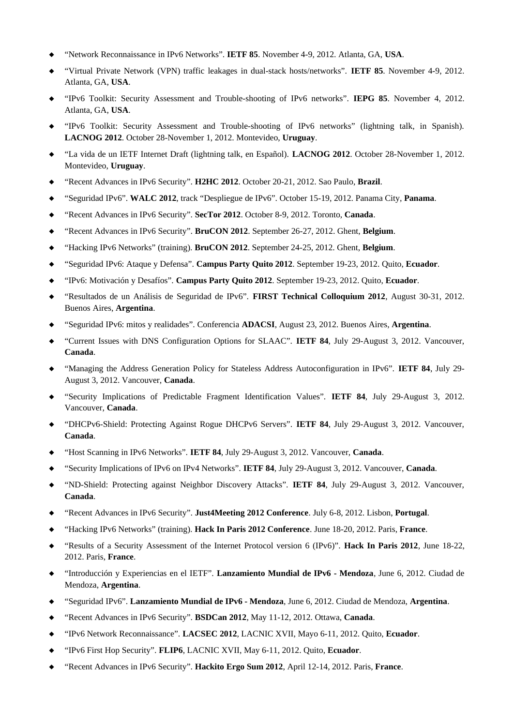- "Network Reconnaissance in IPv6 Networks". **IETF 85**. November 4-9, 2012. Atlanta, GA, **USA**.
- "Virtual Private Network (VPN) traffic leakages in dual-stack hosts/networks". **IETF 85**. November 4-9, 2012. Atlanta, GA, **USA**.
- "IPv6 Toolkit: Security Assessment and Trouble-shooting of IPv6 networks". **IEPG 85**. November 4, 2012. Atlanta, GA, **USA**.
- "IPv6 Toolkit: Security Assessment and Trouble-shooting of IPv6 networks" (lightning talk, in Spanish). **LACNOG 2012**. October 28-November 1, 2012. Montevideo, **Uruguay**.
- "La vida de un IETF Internet Draft (lightning talk, en Español). **LACNOG 2012**. October 28-November 1, 2012. Montevideo, **Uruguay**.
- "Recent Advances in IPv6 Security". **H2HC 2012**. October 20-21, 2012. Sao Paulo, **Brazil**.
- "Seguridad IPv6". **WALC 2012**, track "Despliegue de IPv6". October 15-19, 2012. Panama City, **Panama**.
- "Recent Advances in IPv6 Security". **SecTor 2012**. October 8-9, 2012. Toronto, **Canada**.
- "Recent Advances in IPv6 Security". **BruCON 2012**. September 26-27, 2012. Ghent, **Belgium**.
- "Hacking IPv6 Networks" (training). **BruCON 2012**. September 24-25, 2012. Ghent, **Belgium**.
- "Seguridad IPv6: Ataque y Defensa". **Campus Party Quito 2012**. September 19-23, 2012. Quito, **Ecuador**.
- "IPv6: Motivación y Desafíos". **Campus Party Quito 2012**. September 19-23, 2012. Quito, **Ecuador**.
- "Resultados de un Análisis de Seguridad de IPv6". **FIRST Technical Colloquium 2012**, August 30-31, 2012. Buenos Aires, **Argentina**.
- "Seguridad IPv6: mitos y realidades". Conferencia **ADACSI**, August 23, 2012. Buenos Aires, **Argentina**.
- "Current Issues with DNS Configuration Options for SLAAC". **IETF 84**, July 29-August 3, 2012. Vancouver, **Canada**.
- "Managing the Address Generation Policy for Stateless Address Autoconfiguration in IPv6". **IETF 84**, July 29- August 3, 2012. Vancouver, **Canada**.
- "Security Implications of Predictable Fragment Identification Values". **IETF 84**, July 29-August 3, 2012. Vancouver, **Canada**.
- "DHCPv6-Shield: Protecting Against Rogue DHCPv6 Servers". **IETF 84**, July 29-August 3, 2012. Vancouver, **Canada**.
- "Host Scanning in IPv6 Networks". **IETF 84**, July 29-August 3, 2012. Vancouver, **Canada**.
- "Security Implications of IPv6 on IPv4 Networks". **IETF 84**, July 29-August 3, 2012. Vancouver, **Canada**.
- "ND-Shield: Protecting against Neighbor Discovery Attacks". **IETF 84**, July 29-August 3, 2012. Vancouver, **Canada**.
- "Recent Advances in IPv6 Security". **Just4Meeting 2012 Conference**. July 6-8, 2012. Lisbon, **Portugal**.
- "Hacking IPv6 Networks" (training). **Hack In Paris 2012 Conference**. June 18-20, 2012. Paris, **France**.
- "Results of a Security Assessment of the Internet Protocol version 6 (IPv6)". **Hack In Paris 2012**, June 18-22, 2012. Paris, **France**.
- "Introducción y Experiencias en el IETF". **Lanzamiento Mundial de IPv6 Mendoza**, June 6, 2012. Ciudad de Mendoza, **Argentina**.
- "Seguridad IPv6". **Lanzamiento Mundial de IPv6 Mendoza**, June 6, 2012. Ciudad de Mendoza, **Argentina**.
- "Recent Advances in IPv6 Security". **BSDCan 2012**, May 11-12, 2012. Ottawa, **Canada**.
- "IPv6 Network Reconnaissance". **LACSEC 2012**, LACNIC XVII, Mayo 6-11, 2012. Quito, **Ecuador**.
- "IPv6 First Hop Security". **FLIP6**, LACNIC XVII, May 6-11, 2012. Quito, **Ecuador**.
- "Recent Advances in IPv6 Security". **Hackito Ergo Sum 2012**, April 12-14, 2012. Paris, **France**.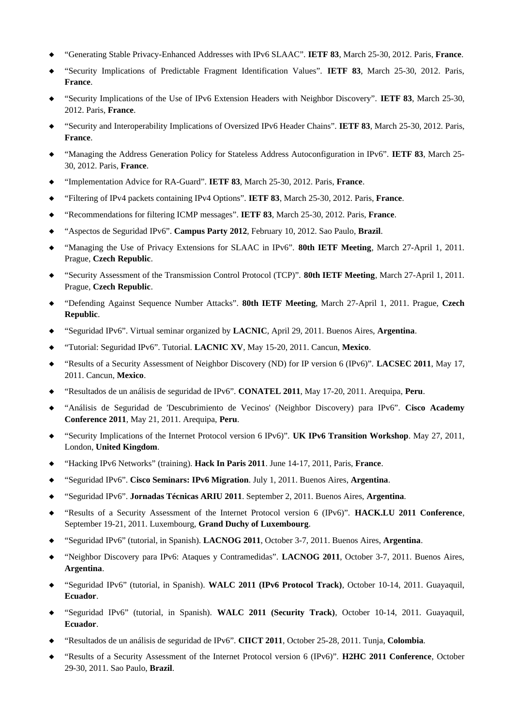- "Generating Stable Privacy-Enhanced Addresses with IPv6 SLAAC". **IETF 83**, March 25-30, 2012. Paris, **France**.
- "Security Implications of Predictable Fragment Identification Values". **IETF 83**, March 25-30, 2012. Paris, **France**.
- "Security Implications of the Use of IPv6 Extension Headers with Neighbor Discovery". **IETF 83**, March 25-30, 2012. Paris, **France**.
- "Security and Interoperability Implications of Oversized IPv6 Header Chains". **IETF 83**, March 25-30, 2012. Paris, **France**.
- "Managing the Address Generation Policy for Stateless Address Autoconfiguration in IPv6". **IETF 83**, March 25- 30, 2012. Paris, **France**.
- "Implementation Advice for RA-Guard". **IETF 83**, March 25-30, 2012. Paris, **France**.
- "Filtering of IPv4 packets containing IPv4 Options". **IETF 83**, March 25-30, 2012. Paris, **France**.
- "Recommendations for filtering ICMP messages". **IETF 83**, March 25-30, 2012. Paris, **France**.
- "Aspectos de Seguridad IPv6". **Campus Party 2012**, February 10, 2012. Sao Paulo, **Brazil**.
- "Managing the Use of Privacy Extensions for SLAAC in IPv6". **80th IETF Meeting**, March 27-April 1, 2011. Prague, **Czech Republic**.
- "Security Assessment of the Transmission Control Protocol (TCP)". **80th IETF Meeting**, March 27-April 1, 2011. Prague, **Czech Republic**.
- "Defending Against Sequence Number Attacks". **80th IETF Meeting**, March 27-April 1, 2011. Prague, **Czech Republic**.
- "Seguridad IPv6". Virtual seminar organized by **LACNIC**, April 29, 2011. Buenos Aires, **Argentina**.
- "Tutorial: Seguridad IPv6". Tutorial. **LACNIC XV**, May 15-20, 2011. Cancun, **Mexico**.
- "Results of a Security Assessment of Neighbor Discovery (ND) for IP version 6 (IPv6)". **LACSEC 2011**, May 17, 2011. Cancun, **Mexico**.
- "Resultados de un análisis de seguridad de IPv6". **CONATEL 2011**, May 17-20, 2011. Arequipa, **Peru**.
- "Análisis de Seguridad de 'Descubrimiento de Vecinos' (Neighbor Discovery) para IPv6". **Cisco Academy Conference 2011**, May 21, 2011. Arequipa, **Peru**.
- "Security Implications of the Internet Protocol version 6 IPv6)". **UK IPv6 Transition Workshop**. May 27, 2011, London, **United Kingdom**.
- "Hacking IPv6 Networks" (training). **Hack In Paris 2011**. June 14-17, 2011, Paris, **France**.
- "Seguridad IPv6". **Cisco Seminars: IPv6 Migration**. July 1, 2011. Buenos Aires, **Argentina**.
- "Seguridad IPv6". **Jornadas Técnicas ARIU 2011**. September 2, 2011. Buenos Aires, **Argentina**.
- "Results of a Security Assessment of the Internet Protocol version 6 (IPv6)". **HACK.LU 2011 Conference**, September 19-21, 2011. Luxembourg, **Grand Duchy of Luxembourg**.
- "Seguridad IPv6" (tutorial, in Spanish). **LACNOG 2011**, October 3-7, 2011. Buenos Aires, **Argentina**.
- "Neighbor Discovery para IPv6: Ataques y Contramedidas". **LACNOG 2011**, October 3-7, 2011. Buenos Aires, **Argentina**.
- "Seguridad IPv6" (tutorial, in Spanish). **WALC 2011 (IPv6 Protocol Track)**, October 10-14, 2011. Guayaquil, **Ecuador**.
- "Seguridad IPv6" (tutorial, in Spanish). **WALC 2011 (Security Track)**, October 10-14, 2011. Guayaquil, **Ecuador**.
- "Resultados de un análisis de seguridad de IPv6". **CIICT 2011**, October 25-28, 2011. Tunja, **Colombia**.
- "Results of a Security Assessment of the Internet Protocol version 6 (IPv6)". **H2HC 2011 Conference**, October 29-30, 2011. Sao Paulo, **Brazil**.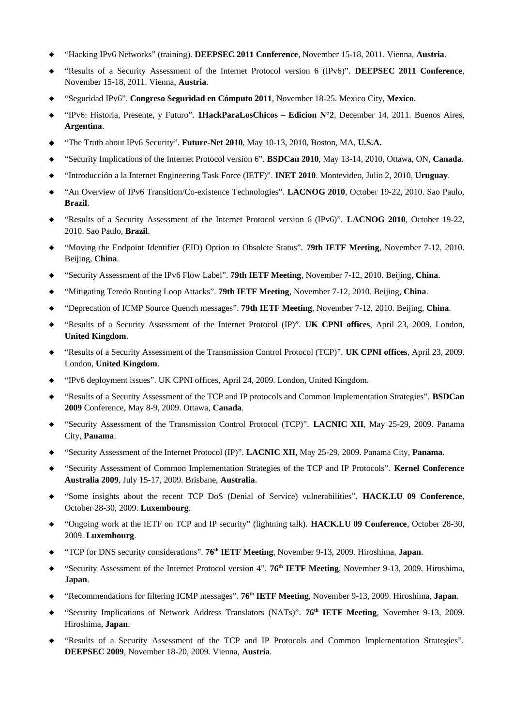- "Hacking IPv6 Networks" (training). **DEEPSEC 2011 Conference**, November 15-18, 2011. Vienna, **Austria**.
- "Results of a Security Assessment of the Internet Protocol version 6 (IPv6)". **DEEPSEC 2011 Conference**, November 15-18, 2011. Vienna, **Austria**.
- "Seguridad IPv6". **Congreso Seguridad en Cómputo 2011**, November 18-25. Mexico City, **Mexico**.
- "IPv6: Historia, Presente, y Futuro". **1HackParaLosChicos Edicion N°2**, December 14, 2011. Buenos Aires, **Argentina**.
- "The Truth about IPv6 Security". **Future-Net 2010**, May 10-13, 2010, Boston, MA, **U.S.A.**
- "Security Implications of the Internet Protocol version 6". **BSDCan 2010**, May 13-14, 2010, Ottawa, ON, **Canada**.
- "Introducción a la Internet Engineering Task Force (IETF)". **INET 2010**. Montevideo, Julio 2, 2010, **Uruguay**.
- "An Overview of IPv6 Transition/Co-existence Technologies". **LACNOG 2010**, October 19-22, 2010. Sao Paulo, **Brazil**.
- "Results of a Security Assessment of the Internet Protocol version 6 (IPv6)". **LACNOG 2010**, October 19-22, 2010. Sao Paulo, **Brazil**.
- "Moving the Endpoint Identifier (EID) Option to Obsolete Status". **79th IETF Meeting**, November 7-12, 2010. Beijing, **China**.
- "Security Assessment of the IPv6 Flow Label". **79th IETF Meeting**, November 7-12, 2010. Beijing, **China**.
- "Mitigating Teredo Routing Loop Attacks". **79th IETF Meeting**, November 7-12, 2010. Beijing, **China**.
- "Deprecation of ICMP Source Quench messages". **79th IETF Meeting**, November 7-12, 2010. Beijing, **China**.
- "Results of a Security Assessment of the Internet Protocol (IP)". **UK CPNI offices**, April 23, 2009. London, **United Kingdom**.
- "Results of a Security Assessment of the Transmission Control Protocol (TCP)". **UK CPNI offices**, April 23, 2009. London, **United Kingdom**.
- "IPv6 deployment issues". UK CPNI offices, April 24, 2009. London, United Kingdom.
- "Results of a Security Assessment of the TCP and IP protocols and Common Implementation Strategies". **BSDCan 2009** Conference, May 8-9, 2009. Ottawa, **Canada**.
- "Security Assessment of the Transmission Control Protocol (TCP)". **LACNIC XII**, May 25-29, 2009. Panama City, **Panama**.
- "Security Assessment of the Internet Protocol (IP)". **LACNIC XII**, May 25-29, 2009. Panama City, **Panama**.
- "Security Assessment of Common Implementation Strategies of the TCP and IP Protocols". **Kernel Conference Australia 2009**, July 15-17, 2009. Brisbane, **Australia**.
- "Some insights about the recent TCP DoS (Denial of Service) vulnerabilities". **HACK.LU 09 Conference**, October 28-30, 2009. **Luxembourg**.
- "Ongoing work at the IETF on TCP and IP security" (lightning talk). **HACK.LU 09 Conference**, October 28-30, 2009. **Luxembourg**.
- "TCP for DNS security considerations". **76th IETF Meeting**, November 9-13, 2009. Hiroshima, **Japan**.
- "Security Assessment of the Internet Protocol version 4". **76th IETF Meeting**, November 9-13, 2009. Hiroshima, **Japan**.
- "Recommendations for filtering ICMP messages". **76th IETF Meeting**, November 9-13, 2009. Hiroshima, **Japan**.
- "Security Implications of Network Address Translators (NATs)". **76th IETF Meeting**, November 9-13, 2009. Hiroshima, **Japan**.
- "Results of a Security Assessment of the TCP and IP Protocols and Common Implementation Strategies". **DEEPSEC 2009**, November 18-20, 2009. Vienna, **Austria**.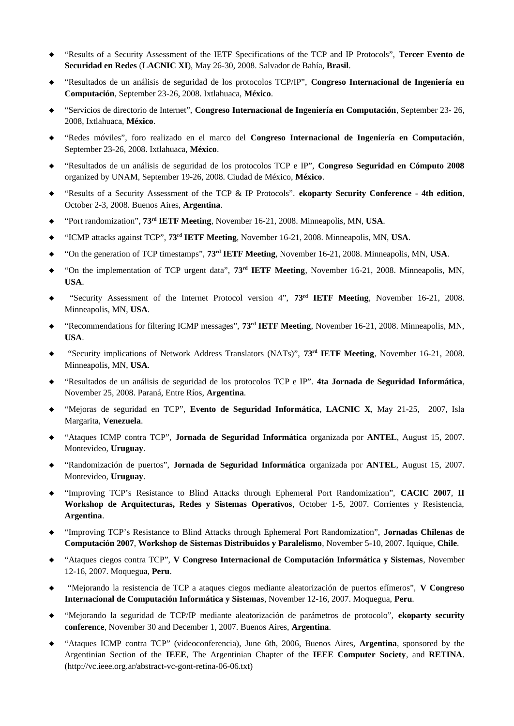- "Results of a Security Assessment of the IETF Specifications of the TCP and IP Protocols", **Tercer Evento de Securidad en Redes** (**LACNIC XI**), May 26-30, 2008. Salvador de Bahía, **Brasil**.
- "Resultados de un análisis de seguridad de los protocolos TCP/IP", **Congreso Internacional de Ingeniería en Computación**, September 23-26, 2008. Ixtlahuaca, **México**.
- "Servicios de directorio de Internet", **Congreso Internacional de Ingeniería en Computación**, September 23- 26, 2008, Ixtlahuaca, **México**.
- "Redes móviles", foro realizado en el marco del **Congreso Internacional de Ingeniería en Computación**, September 23-26, 2008. Ixtlahuaca, **México**.
- "Resultados de un análisis de seguridad de los protocolos TCP e IP", **Congreso Seguridad en Cómputo 2008** organized by UNAM, September 19-26, 2008. Ciudad de México, **México**.
- "Results of a Security Assessment of the TCP & IP Protocols". **ekoparty Security Conference 4th edition**, October 2-3, 2008. Buenos Aires, **Argentina**.
- "Port randomization", **73rd IETF Meeting**, November 16-21, 2008. Minneapolis, MN, **USA**.
- "ICMP attacks against TCP", **73rd IETF Meeting**, November 16-21, 2008. Minneapolis, MN, **USA**.
- "On the generation of TCP timestamps", **73rd IETF Meeting**, November 16-21, 2008. Minneapolis, MN, **USA**.
- "On the implementation of TCP urgent data", **73rd IETF Meeting**, November 16-21, 2008. Minneapolis, MN, **USA**.
- "Security Assessment of the Internet Protocol version 4", **73rd IETF Meeting**, November 16-21, 2008. Minneapolis, MN, **USA**.
- "Recommendations for filtering ICMP messages", **73rd IETF Meeting**, November 16-21, 2008. Minneapolis, MN, **USA**.
- "Security implications of Network Address Translators (NATs)", **73rd IETF Meeting**, November 16-21, 2008. Minneapolis, MN, **USA**.
- "Resultados de un análisis de seguridad de los protocolos TCP e IP". **4ta Jornada de Seguridad Informática**, November 25, 2008. Paraná, Entre Ríos, **Argentina**.
- "Mejoras de seguridad en TCP", **Evento de Seguridad Informática**, **LACNIC X**, May 21-25, 2007, Isla Margarita, **Venezuela**.
- "Ataques ICMP contra TCP", **Jornada de Seguridad Informática** organizada por **ANTEL**, August 15, 2007. Montevideo, **Uruguay**.
- "Randomización de puertos", **Jornada de Seguridad Informática** organizada por **ANTEL**, August 15, 2007. Montevideo, **Uruguay**.
- "Improving TCP's Resistance to Blind Attacks through Ephemeral Port Randomization", **CACIC 2007**, **II Workshop de Arquitecturas, Redes y Sistemas Operativos**, October 1-5, 2007. Corrientes y Resistencia, **Argentina**.
- "Improving TCP's Resistance to Blind Attacks through Ephemeral Port Randomization", **Jornadas Chilenas de Computación 2007**, **Workshop de Sistemas Distribuidos y Paralelismo**, November 5-10, 2007. Iquique, **Chile**.
- "Ataques ciegos contra TCP", **V Congreso Internacional de Computación Informática y Sistemas**, November 12-16, 2007. Moquegua, **Peru**.
- "Mejorando la resistencia de TCP a ataques ciegos mediante aleatorización de puertos efímeros", **V Congreso Internacional de Computación Informática y Sistemas**, November 12-16, 2007. Moquegua, **Peru**.
- "Mejorando la seguridad de TCP/IP mediante aleatorización de parámetros de protocolo", **ekoparty security conference**, November 30 and December 1, 2007. Buenos Aires, **Argentina**.
- "Ataques ICMP contra TCP" (videoconferencia), June 6th, 2006, Buenos Aires, **Argentina**, sponsored by the Argentinian Section of the **IEEE**, The Argentinian Chapter of the **IEEE Computer Society**, and **RETINA**. (http://vc.ieee.org.ar/abstract-vc-gont-retina-06-06.txt)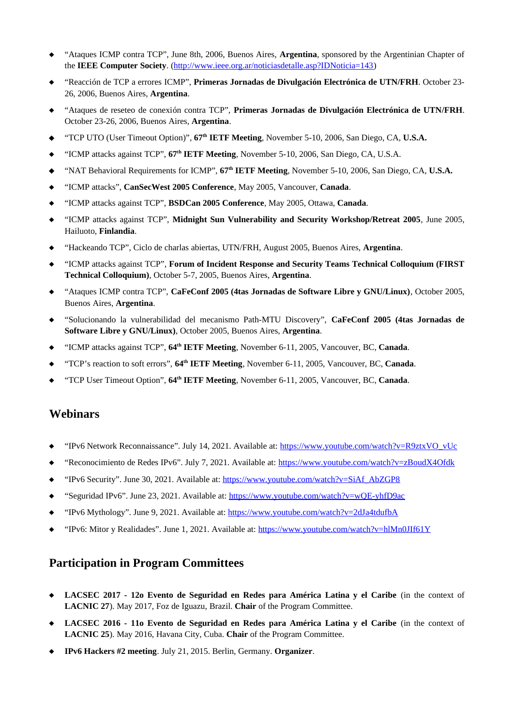- "Ataques ICMP contra TCP", June 8th, 2006, Buenos Aires, **Argentina**, sponsored by the Argentinian Chapter of the **IEEE Computer Society**. [\(http://www.ieee.org.ar/noticiasdetalle.asp?IDNoticia=143](http://www.ieee.org.ar/noticiasdetalle.asp?IDNoticia=143))
- "Reacción de TCP a errores ICMP", **Primeras Jornadas de Divulgación Electrónica de UTN/FRH**. October 23- 26, 2006, Buenos Aires, **Argentina**.
- "Ataques de reseteo de conexión contra TCP", **Primeras Jornadas de Divulgación Electrónica de UTN/FRH**. October 23-26, 2006, Buenos Aires, **Argentina**.
- "TCP UTO (User Timeout Option)", **67th IETF Meeting**, November 5-10, 2006, San Diego, CA, **U.S.A.**
- "ICMP attacks against TCP", **67th IETF Meeting**, November 5-10, 2006, San Diego, CA, U.S.A.
- "NAT Behavioral Requirements for ICMP", **67th IETF Meeting**, November 5-10, 2006, San Diego, CA, **U.S.A.**
- "ICMP attacks", **CanSecWest 2005 Conference**, May 2005, Vancouver, **Canada**.
- "ICMP attacks against TCP", **BSDCan 2005 Conference**, May 2005, Ottawa, **Canada**.
- "ICMP attacks against TCP", **Midnight Sun Vulnerability and Security Workshop/Retreat 2005**, June 2005, Hailuoto, **Finlandia**.
- "Hackeando TCP", Ciclo de charlas abiertas, UTN/FRH, August 2005, Buenos Aires, **Argentina**.
- "ICMP attacks against TCP", **Forum of Incident Response and Security Teams Technical Colloquium (FIRST Technical Colloquium)**, October 5-7, 2005, Buenos Aires, **Argentina**.
- "Ataques ICMP contra TCP", **CaFeConf 2005 (4tas Jornadas de Software Libre y GNU/Linux)**, October 2005, Buenos Aires, **Argentina**.
- "Solucionando la vulnerabilidad del mecanismo Path-MTU Discovery", **CaFeConf 2005 (4tas Jornadas de Software Libre y GNU/Linux)**, October 2005, Buenos Aires, **Argentina**.
- "ICMP attacks against TCP", **64th IETF Meeting**, November 6-11, 2005, Vancouver, BC, **Canada**.
- "TCP's reaction to soft errors", **64th IETF Meeting**, November 6-11, 2005, Vancouver, BC, **Canada**.
- "TCP User Timeout Option", **64th IETF Meeting**, November 6-11, 2005, Vancouver, BC, **Canada**.

## **Webinars**

- "IPv6 Network Reconnaissance". July 14, 2021. Available at: [https://www.youtube.com/watch?v=R9ztxVO\\_vUc](https://www.youtube.com/watch?v=R9ztxVO_vUc)
- ◆ "Reconocimiento de Redes IPv6". July 7, 2021. Available at: <https://www.youtube.com/watch?v=zBoudX4Ofdk>
- "IPv6 Security". June 30, 2021. Available at: [https://www.youtube.com/watch?v=SiAf\\_AbZGP8](https://www.youtube.com/watch?v=SiAf_AbZGP8)
- "Seguridad IPv6". June 23, 2021. Available at:<https://www.youtube.com/watch?v=wQE-yhfD9ac>
- "IPv6 Mythology". June 9, 2021. Available at:<https://www.youtube.com/watch?v=2dJa4tdufbA>
- "IPv6: Mitor y Realidades". June 1, 2021. Available at:<https://www.youtube.com/watch?v=hlMn0JIf61Y>

## **Participation in Program Committees**

- **LACSEC 2017 12o Evento de Seguridad en Redes para América Latina y el Caribe** (in the context of **LACNIC 27**). May 2017, Foz de Iguazu, Brazil. **Chair** of the Program Committee.
- **LACSEC 2016 11o Evento de Seguridad en Redes para América Latina y el Caribe** (in the context of **LACNIC 25**). May 2016, Havana City, Cuba. **Chair** of the Program Committee.
- **IPv6 Hackers #2 meeting**. July 21, 2015. Berlin, Germany. **Organizer**.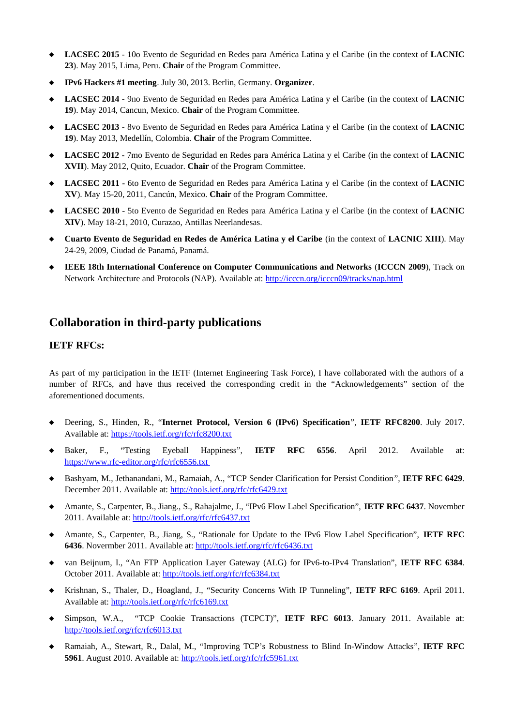- **LACSEC 2015** 10o Evento de Seguridad en Redes para América Latina y el Caribe (in the context of **LACNIC 23**). May 2015, Lima, Peru. **Chair** of the Program Committee.
- **IPv6 Hackers #1 meeting**. July 30, 2013. Berlin, Germany. **Organizer**.
- **LACSEC 2014** 9no Evento de Seguridad en Redes para América Latina y el Caribe (in the context of **LACNIC 19**). May 2014, Cancun, Mexico. **Chair** of the Program Committee.
- **LACSEC 2013**  8vo Evento de Seguridad en Redes para América Latina y el Caribe (in the context of **LACNIC 19**). May 2013, Medellín, Colombia. **Chair** of the Program Committee.
- **LACSEC 2012** 7mo Evento de Seguridad en Redes para América Latina y el Caribe (in the context of **LACNIC XVII**). May 2012, Quito, Ecuador. **Chair** of the Program Committee.
- **LACSEC 2011** 6to Evento de Seguridad en Redes para América Latina y el Caribe (in the context of **LACNIC XV**). May 15-20, 2011, Cancún, Mexico. **Chair** of the Program Committee.
- **LACSEC 2010** 5to Evento de Seguridad en Redes para América Latina y el Caribe (in the context of **LACNIC XIV**). May 18-21, 2010, Curazao, Antillas Neerlandesas.
- **Cuarto Evento de Seguridad en Redes de América Latina y el Caribe** (in the context of **LACNIC XIII**). May 24-29, 2009, Ciudad de Panamá, Panamá.
- **IEEE 18th International Conference on Computer Communications and Networks** (**ICCCN 2009**), Track on Network Architecture and Protocols (NAP). Available at: <http://icccn.org/icccn09/tracks/nap.html>

## **Collaboration in third-party publications**

### **IETF RFCs:**

As part of my participation in the IETF (Internet Engineering Task Force), I have collaborated with the authors of a number of RFCs, and have thus received the corresponding credit in the "Acknowledgements" section of the aforementioned documents.

- Deering, S., Hinden, R., "**Internet Protocol, Version 6 (IPv6) Specification**", **IETF RFC8200**. July 2017. Available at: <https://tools.ietf.org/rfc/rfc8200.txt>
- Baker, F., "Testing Eyeball Happiness", **IETF RFC 6556**. April 2012. Available at: <https://www.rfc-editor.org/rfc/rfc6556.txt>
- Bashyam, M., Jethanandani, M., Ramaiah, A., "TCP Sender Clarification for Persist Condition", **IETF RFC 6429**. December 2011. Available at: [http://tools.ietf.org/rfc/rfc6429.txt](http://tools.ietf.org/rfc/rfc6437.txt)
- Amante, S., Carpenter, B., Jiang., S., Rahajalme, J., "IPv6 Flow Label Specification", **IETF RFC 6437**. November 2011. Available at: <http://tools.ietf.org/rfc/rfc6437.txt>
- Amante, S., Carpenter, B., Jiang, S., "Rationale for Update to the IPv6 Flow Label Specification", **IETF RFC 6436**. Novermber 2011. Available at: [http://tools.ietf.org/rfc/rfc6436.txt](http://tools.ietf.org/rfc/rfc6437.txt)
- van Beijnum, I., "An FTP Application Layer Gateway (ALG) for IPv6-to-IPv4 Translation", **IETF RFC 6384**. October 2011. Available at: [http://tools.ietf.org/rfc/rfc6384.txt](http://tools.ietf.org/rfc/rfc6437.txt)
- Krishnan, S., Thaler, D., Hoagland, J., "Security Concerns With IP Tunneling", **IETF RFC 6169**. April 2011. Available at: [http://tools.ietf.org/rfc/rfc6169.txt](http://tools.ietf.org/rfc/rfc6437.txt)
- Simpson, W.A., "TCP Cookie Transactions (TCPCT)", **IETF RFC 6013**. January 2011. Available at: [http://tools.ietf.org/rfc/rfc6013.txt](http://tools.ietf.org/rfc/rfc6437.txt)
- Ramaiah, A., Stewart, R., Dalal, M., "Improving TCP's Robustness to Blind In-Window Attacks", **IETF RFC 5961**. August 2010. Available at:<http://tools.ietf.org/rfc/rfc5961.txt>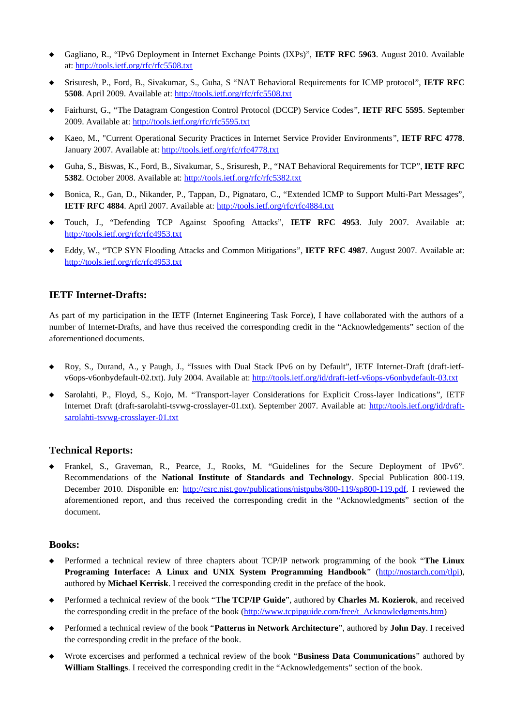- Gagliano, R., "IPv6 Deployment in Internet Exchange Points (IXPs)", **IETF RFC 5963**. August 2010. Available at:<http://tools.ietf.org/rfc/rfc5508.txt>
- Srisuresh, P., Ford, B., Sivakumar, S., Guha, S "NAT Behavioral Requirements for ICMP protocol", **IETF RFC 5508**. April 2009. Available at:<http://tools.ietf.org/rfc/rfc5508.txt>
- Fairhurst, G., "The Datagram Congestion Control Protocol (DCCP) Service Codes", **IETF RFC 5595**. September 2009. Available at: <http://tools.ietf.org/rfc/rfc5595.txt>
- Kaeo, M., "Current Operational Security Practices in Internet Service Provider Environments", **IETF RFC 4778**. January 2007. Available at:<http://tools.ietf.org/rfc/rfc4778.txt>
- Guha, S., Biswas, K., Ford, B., Sivakumar, S., Srisuresh, P., "NAT Behavioral Requirements for TCP", **IETF RFC 5382**. October 2008. Available at:<http://tools.ietf.org/rfc/rfc5382.txt>
- Bonica, R., Gan, D., Nikander, P., Tappan, D., Pignataro, C., "Extended ICMP to Support Multi-Part Messages", **IETF RFC 4884**. April 2007. Available at:<http://tools.ietf.org/rfc/rfc4884.txt>
- Touch, J., "Defending TCP Against Spoofing Attacks", **IETF RFC 4953**. July 2007. Available at: <http://tools.ietf.org/rfc/rfc4953.txt>
- ◆ Eddy, W., "TCP SYN Flooding Attacks and Common Mitigations", **IETF RFC 4987**. August 2007. Available at: <http://tools.ietf.org/rfc/rfc4953.txt>

#### **IETF Internet-Drafts:**

As part of my participation in the IETF (Internet Engineering Task Force), I have collaborated with the authors of a number of Internet-Drafts, and have thus received the corresponding credit in the "Acknowledgements" section of the aforementioned documents.

- Roy, S., Durand, A., y Paugh, J., "Issues with Dual Stack IPv6 on by Default", IETF Internet-Draft (draft-ietfv6ops-v6onbydefault-02.txt). July 2004. Available at:<http://tools.ietf.org/id/draft-ietf-v6ops-v6onbydefault-03.txt>
- Sarolahti, P., Floyd, S., Kojo, M. "Transport-layer Considerations for Explicit Cross-layer Indications", IETF Internet Draft (draft-sarolahti-tsvwg-crosslayer-01.txt). September 2007. Available at: [http://tools.ietf.org/id/draft](http://tools.ietf.org/id/draft-sarolahti-tsvwg-crosslayer-01.txt)[sarolahti-tsvwg-crosslayer-01.txt](http://tools.ietf.org/id/draft-sarolahti-tsvwg-crosslayer-01.txt)

#### **Technical Reports:**

 Frankel, S., Graveman, R., Pearce, J., Rooks, M. "Guidelines for the Secure Deployment of IPv6". Recommendations of the **National Institute of Standards and Technology**. Special Publication 800-119. December 2010. Disponible en:<http://csrc.nist.gov/publications/nistpubs/800-119/sp800-119.pdf>. I reviewed the aforementioned report, and thus received the corresponding credit in the "Acknowledgments" section of the document.

#### **Books:**

- Performed a technical review of three chapters about TCP/IP network programming of the book "**The Linux Programing Interface: A Linux and UNIX System Programming Handbook**" [\(http://nostarch.com/tlpi\)](http://nostarch.com/tlpi), authored by **Michael Kerrisk**. I received the corresponding credit in the preface of the book.
- Performed a technical review of the book "**The TCP/IP Guide**", authored by **Charles M. Kozierok**, and received the corresponding credit in the preface of the book ([http://www.tcpipguide.com/free/t\\_Acknowledgments.htm\)](http://www.tcpipguide.com/free/t_Acknowledgments.htm)
- Performed a technical review of the book "**Patterns in Network Architecture**", authored by **John Day**. I received the corresponding credit in the preface of the book.
- Wrote excercises and performed a technical review of the book "**Business Data Communications**" authored by **William Stallings**. I received the corresponding credit in the "Acknowledgements" section of the book.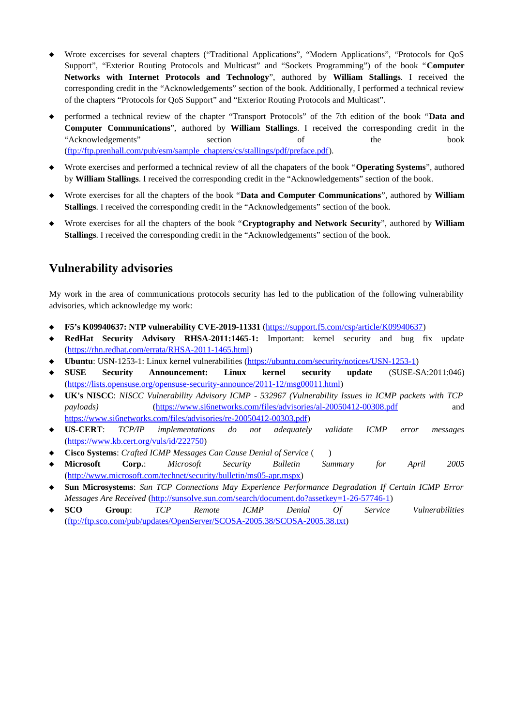- Wrote excercises for several chapters ("Traditional Applications", "Modern Applications", "Protocols for QoS Support", "Exterior Routing Protocols and Multicast" and "Sockets Programming") of the book "**Computer Networks with Internet Protocols and Technology**", authored by **William Stallings**. I received the corresponding credit in the "Acknowledgements" section of the book. Additionally, I performed a technical review of the chapters "Protocols for QoS Support" and "Exterior Routing Protocols and Multicast".
- performed a technical review of the chapter "Transport Protocols" of the 7th edition of the book "**Data and Computer Communications**", authored by **William Stallings**. I received the corresponding credit in the "Acknowledgements" section of the book [\(ftp://ftp.prenhall.com/pub/esm/sample\\_chapters/cs/stallings/pdf/preface.pdf](ftp://ftp.prenhall.com/pub/esm/sample_chapters/cs/stallings/pdf/preface.pdf)).
- Wrote exercises and performed a technical review of all the chapaters of the book "**Operating Systems**", authored by **William Stallings**. I received the corresponding credit in the "Acknowledgements" section of the book.
- Wrote exercises for all the chapters of the book "**Data and Computer Communications**", authored by **William Stallings**. I received the corresponding credit in the "Acknowledgements" section of the book.
- Wrote exercises for all the chapters of the book "**Cryptography and Network Security**", authored by **William Stallings**. I received the corresponding credit in the "Acknowledgements" section of the book.

# **Vulnerability advisories**

My work in the area of communications protocols security has led to the publication of the following vulnerability advisories, which acknowledge my work:

- **F5's K09940637: NTP vulnerability CVE-2019-11331** [\(https://support.f5.com/csp/article/K09940637](https://support.f5.com/csp/article/K09940637))
- **RedHat Security Advisory RHSA-2011:1465-1:** Important: kernel security and bug fix update [\(https://rhn.redhat.com/errata/RHSA-2011-1465.html](https://rhn.redhat.com/errata/RHSA-2011-1465.html))
- **Ubuntu**: USN-1253-1: Linux kernel vulnerabilities (<https://ubuntu.com/security/notices/USN-1253-1>)
- **SUSE Security Announcement: Linux kernel security update** (SUSE-SA:2011:046) [\(https://lists.opensuse.org/opensuse-security-announce/2011-12/msg00011.html\)](https://lists.opensuse.org/opensuse-security-announce/2011-12/msg00011.html)
- **UK's NISCC**: *NISCC Vulnerability Advisory ICMP 532967 (Vulnerability Issues in ICMP packets with TCP payloads)* [\(https://www.si6networks.com/files/advisories/al-20050412-00308.pdf](https://www.si6networks.com/files/advisories/al-20050412-00308.pdf) and <https://www.si6networks.com/files/advisories/re-20050412-00303.pdf>)
- **US-CERT**: *TCP/IP implementations do not adequately validate ICMP error messages* (https://www.kb.cert.org/vuls/id/222750)
- **Cisco Systems**: *Crafted ICMP Messages Can Cause Denial of Service* ( )
- **Microsoft Corp.**: *Microsoft Security Bulletin Summary for April 2005* [\(http://www.microsoft.com/technet/security/bulletin/ms05-apr.mspx\)](http://www.microsoft.com/technet/security/bulletin/ms05-apr.mspx)
- **Sun Microsystems**: *Sun TCP Connections May Experience Performance Degradation If Certain ICMP Error Messages Are Received* [\(http://sunsolve.sun.com/search/document.do?assetkey=1-26-57746-1](http://sunsolve.sun.com/search/document.do?assetkey=1-26-57746-1))
- **SCO Group**: *TCP Remote ICMP Denial Of Service Vulnerabilities* [\(ftp://ftp.sco.com/pub/updates/OpenServer/SCOSA-2005.38/SCOSA-2005.38.txt\)](ftp://ftp.sco.com/pub/updates/OpenServer/SCOSA-2005.38/SCOSA-2005.38.txt)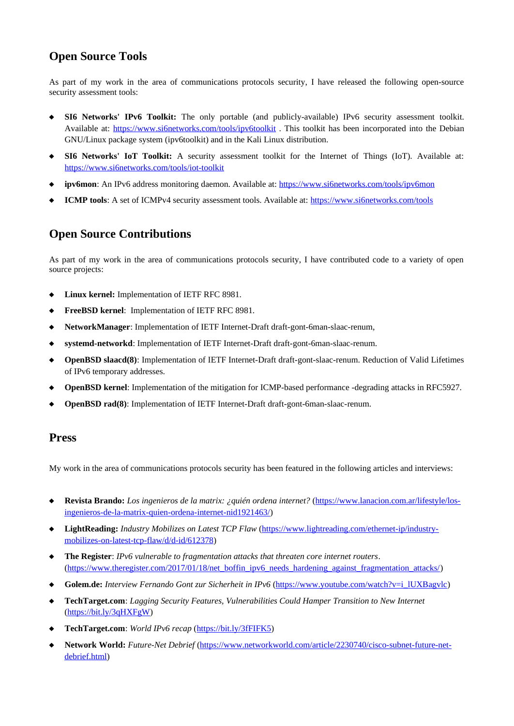# **Open Source Tools**

As part of my work in the area of communications protocols security, I have released the following open-source security assessment tools:

- **SI6 Networks' IPv6 Toolkit:** The only portable (and publicly-available) IPv6 security assessment toolkit. Available at:<https://www.si6networks.com/tools/ipv6toolkit>. This toolkit has been incorporated into the Debian GNU/Linux package system (ipv6toolkit) and in the Kali Linux distribution.
- **SI6 Networks' IoT Toolkit:** A security assessment toolkit for the Internet of Things (IoT). Available at: <https://www.si6networks.com/tools/iot-toolkit>
- **ipv6mon**: An IPv6 address monitoring daemon. Available at:<https://www.si6networks.com/tools/ipv6mon>
- **ICMP tools**: A set of ICMPv4 security assessment tools. Available at: <https://www.si6networks.com/tools>

# **Open Source Contributions**

As part of my work in the area of communications protocols security, I have contributed code to a variety of open source projects:

- **Linux kernel:** Implementation of IETF RFC 8981.
- **FreeBSD kernel**: Implementation of IETF RFC 8981.
- **NetworkManager**: Implementation of IETF Internet-Draft draft-gont-6man-slaac-renum,
- **systemd-networkd**: Implementation of IETF Internet-Draft draft-gont-6man-slaac-renum.
- **OpenBSD slaacd(8)**: Implementation of IETF Internet-Draft draft-gont-slaac-renum. Reduction of Valid Lifetimes of IPv6 temporary addresses.
- **OpenBSD kernel**: Implementation of the mitigation for ICMP-based performance -degrading attacks in RFC5927.
- **OpenBSD rad(8)**: Implementation of IETF Internet-Draft draft-gont-6man-slaac-renum.

### **Press**

My work in the area of communications protocols security has been featured in the following articles and interviews:

- **Revista Brando:** *Los ingenieros de la matrix: ¿quién ordena internet?* [\(https://www.lanacion.com.ar/lifestyle/los](https://www.lanacion.com.ar/lifestyle/los-ingenieros-de-la-matrix-quien-ordena-internet-nid1921463/)[ingenieros-de-la-matrix-quien-ordena-internet-nid1921463/](https://www.lanacion.com.ar/lifestyle/los-ingenieros-de-la-matrix-quien-ordena-internet-nid1921463/))
- **LightReading:** *Industry Mobilizes on Latest TCP Flaw* ([https://www.lightreading.com/ethernet-ip/industry](https://www.lightreading.com/ethernet-ip/industry-mobilizes-on-latest-tcp-flaw/d/d-id/612378)[mobilizes-on-latest-tcp-flaw/d/d-id/612378\)](https://www.lightreading.com/ethernet-ip/industry-mobilizes-on-latest-tcp-flaw/d/d-id/612378)
- **The Register**: *IPv6 vulnerable to fragmentation attacks that threaten core internet routers*. [\(https://www.theregister.com/2017/01/18/net\\_boffin\\_ipv6\\_needs\\_hardening\\_against\\_fragmentation\\_attacks/](https://www.theregister.com/2017/01/18/net_boffin_ipv6_needs_hardening_against_fragmentation_attacks/))
- ◆ Golem.de: *Interview Fernando Gont zur Sicherheit in IPv6* (https://www.youtube.com/watch?v=i\_lUXBagylc)
- **TechTarget.com**: *Lagging Security Features, Vulnerabilities Could Hamper Transition to New Internet* [\(https://bit.ly/3qHXFgW](https://bit.ly/3qHXFgW))
- **TechTarget.com**: *World IPv6 recap* [\(https://bit.ly/3fFIFK5](https://bit.ly/3fFIFK5))
- **Network World:** *Future-Net Debrief* ([https://www.networkworld.com/article/2230740/cisco-subnet-future-net](https://www.networkworld.com/article/2230740/cisco-subnet-future-net-debrief.html)[debrief.html](https://www.networkworld.com/article/2230740/cisco-subnet-future-net-debrief.html))